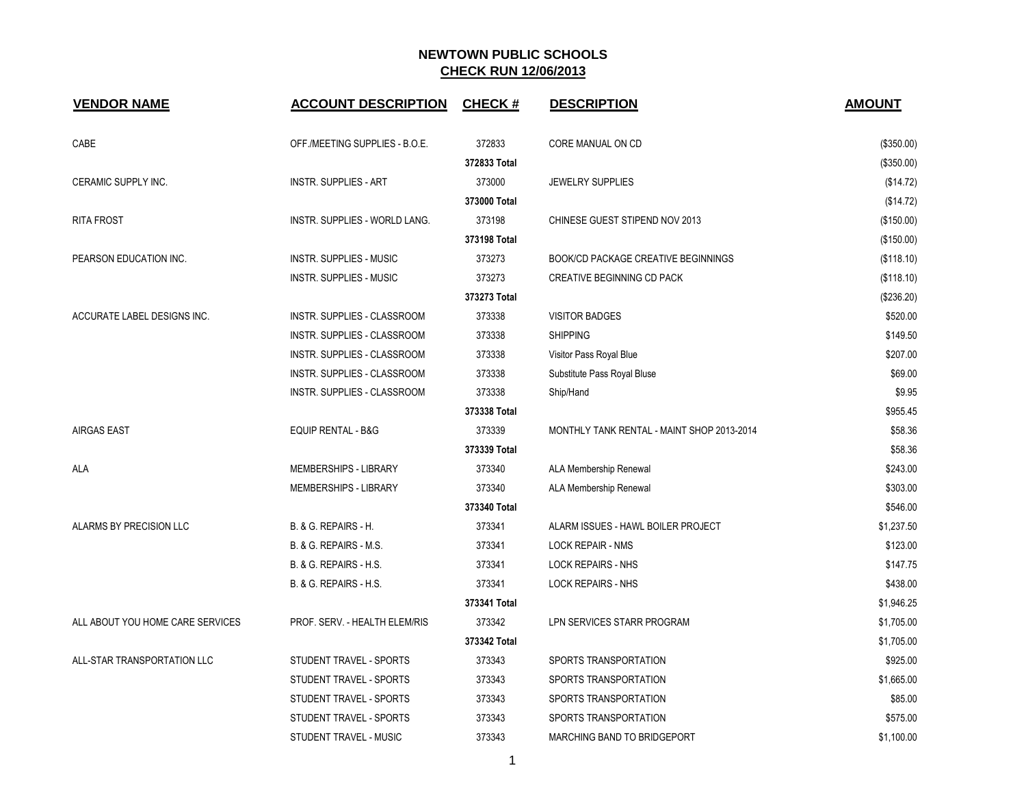| <b>VENDOR NAME</b>               | <b>ACCOUNT DESCRIPTION</b>     | <b>CHECK#</b> | <b>DESCRIPTION</b>                         | <b>AMOUNT</b> |
|----------------------------------|--------------------------------|---------------|--------------------------------------------|---------------|
| CABE                             | OFF./MEETING SUPPLIES - B.O.E. | 372833        | CORE MANUAL ON CD                          | (\$350.00)    |
|                                  |                                | 372833 Total  |                                            | (\$350.00)    |
| CERAMIC SUPPLY INC.              | <b>INSTR. SUPPLIES - ART</b>   | 373000        | <b>JEWELRY SUPPLIES</b>                    | (\$14.72)     |
|                                  |                                | 373000 Total  |                                            | (\$14.72)     |
| <b>RITA FROST</b>                | INSTR. SUPPLIES - WORLD LANG.  | 373198        | CHINESE GUEST STIPEND NOV 2013             | (\$150.00)    |
|                                  |                                | 373198 Total  |                                            | (\$150.00)    |
| PEARSON EDUCATION INC.           | <b>INSTR. SUPPLIES - MUSIC</b> | 373273        | <b>BOOK/CD PACKAGE CREATIVE BEGINNINGS</b> | (\$118.10)    |
|                                  | <b>INSTR. SUPPLIES - MUSIC</b> | 373273        | CREATIVE BEGINNING CD PACK                 | (\$118.10)    |
|                                  |                                | 373273 Total  |                                            | (\$236.20)    |
| ACCURATE LABEL DESIGNS INC.      | INSTR. SUPPLIES - CLASSROOM    | 373338        | <b>VISITOR BADGES</b>                      | \$520.00      |
|                                  | INSTR. SUPPLIES - CLASSROOM    | 373338        | <b>SHIPPING</b>                            | \$149.50      |
|                                  | INSTR. SUPPLIES - CLASSROOM    | 373338        | Visitor Pass Royal Blue                    | \$207.00      |
|                                  | INSTR. SUPPLIES - CLASSROOM    | 373338        | Substitute Pass Royal Bluse                | \$69.00       |
|                                  | INSTR. SUPPLIES - CLASSROOM    | 373338        | Ship/Hand                                  | \$9.95        |
|                                  |                                | 373338 Total  |                                            | \$955.45      |
| <b>AIRGAS EAST</b>               | <b>EQUIP RENTAL - B&amp;G</b>  | 373339        | MONTHLY TANK RENTAL - MAINT SHOP 2013-2014 | \$58.36       |
|                                  |                                | 373339 Total  |                                            | \$58.36       |
| ALA                              | MEMBERSHIPS - LIBRARY          | 373340        | ALA Membership Renewal                     | \$243.00      |
|                                  | MEMBERSHIPS - LIBRARY          | 373340        | ALA Membership Renewal                     | \$303.00      |
|                                  |                                | 373340 Total  |                                            | \$546.00      |
| ALARMS BY PRECISION LLC          | B. & G. REPAIRS - H.           | 373341        | ALARM ISSUES - HAWL BOILER PROJECT         | \$1,237.50    |
|                                  | B. & G. REPAIRS - M.S.         | 373341        | <b>LOCK REPAIR - NMS</b>                   | \$123.00      |
|                                  | B. & G. REPAIRS - H.S.         | 373341        | <b>LOCK REPAIRS - NHS</b>                  | \$147.75      |
|                                  | B. & G. REPAIRS - H.S.         | 373341        | <b>LOCK REPAIRS - NHS</b>                  | \$438.00      |
|                                  |                                | 373341 Total  |                                            | \$1,946.25    |
| ALL ABOUT YOU HOME CARE SERVICES | PROF. SERV. - HEALTH ELEM/RIS  | 373342        | LPN SERVICES STARR PROGRAM                 | \$1,705.00    |
|                                  |                                | 373342 Total  |                                            | \$1,705.00    |
| ALL-STAR TRANSPORTATION LLC      | STUDENT TRAVEL - SPORTS        | 373343        | SPORTS TRANSPORTATION                      | \$925.00      |
|                                  | STUDENT TRAVEL - SPORTS        | 373343        | SPORTS TRANSPORTATION                      | \$1,665.00    |
|                                  | STUDENT TRAVEL - SPORTS        | 373343        | SPORTS TRANSPORTATION                      | \$85.00       |
|                                  | STUDENT TRAVEL - SPORTS        | 373343        | SPORTS TRANSPORTATION                      | \$575.00      |
|                                  | STUDENT TRAVEL - MUSIC         | 373343        | <b>MARCHING BAND TO BRIDGEPORT</b>         | \$1,100.00    |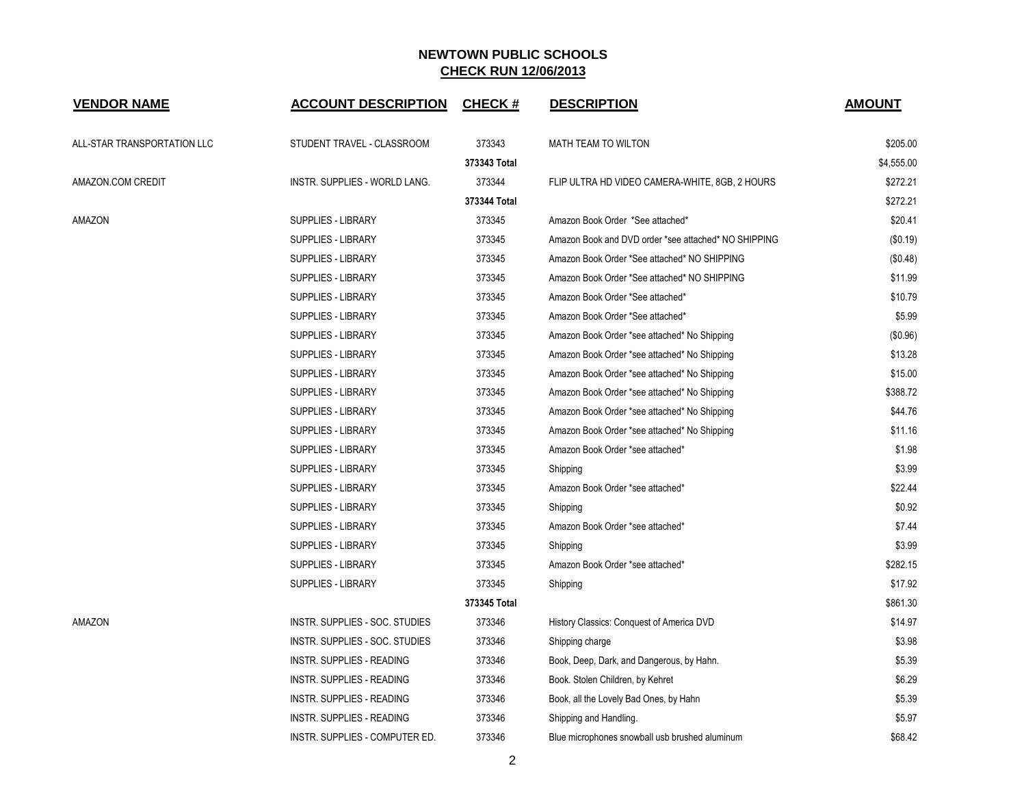| <b>VENDOR NAME</b>          | <b>ACCOUNT DESCRIPTION</b>     | <b>CHECK#</b> | <b>DESCRIPTION</b>                                   | <b>AMOUNT</b> |
|-----------------------------|--------------------------------|---------------|------------------------------------------------------|---------------|
| ALL-STAR TRANSPORTATION LLC | STUDENT TRAVEL - CLASSROOM     | 373343        | MATH TEAM TO WILTON                                  | \$205.00      |
|                             |                                | 373343 Total  |                                                      | \$4,555.00    |
| AMAZON.COM CREDIT           | INSTR. SUPPLIES - WORLD LANG.  | 373344        | FLIP ULTRA HD VIDEO CAMERA-WHITE, 8GB, 2 HOURS       | \$272.21      |
|                             |                                | 373344 Total  |                                                      | \$272.21      |
| AMAZON                      | <b>SUPPLIES - LIBRARY</b>      | 373345        | Amazon Book Order *See attached*                     | \$20.41       |
|                             | <b>SUPPLIES - LIBRARY</b>      | 373345        | Amazon Book and DVD order *see attached* NO SHIPPING | (\$0.19)      |
|                             | <b>SUPPLIES - LIBRARY</b>      | 373345        | Amazon Book Order *See attached* NO SHIPPING         | (\$0.48)      |
|                             | <b>SUPPLIES - LIBRARY</b>      | 373345        | Amazon Book Order *See attached* NO SHIPPING         | \$11.99       |
|                             | <b>SUPPLIES - LIBRARY</b>      | 373345        | Amazon Book Order *See attached*                     | \$10.79       |
|                             | <b>SUPPLIES - LIBRARY</b>      | 373345        | Amazon Book Order *See attached*                     | \$5.99        |
|                             | <b>SUPPLIES - LIBRARY</b>      | 373345        | Amazon Book Order *see attached* No Shipping         | (\$0.96)      |
|                             | SUPPLIES - LIBRARY             | 373345        | Amazon Book Order *see attached* No Shipping         | \$13.28       |
|                             | <b>SUPPLIES - LIBRARY</b>      | 373345        | Amazon Book Order *see attached* No Shipping         | \$15.00       |
|                             | <b>SUPPLIES - LIBRARY</b>      | 373345        | Amazon Book Order *see attached* No Shipping         | \$388.72      |
|                             | SUPPLIES - LIBRARY             | 373345        | Amazon Book Order *see attached* No Shipping         | \$44.76       |
|                             | SUPPLIES - LIBRARY             | 373345        | Amazon Book Order *see attached* No Shipping         | \$11.16       |
|                             | <b>SUPPLIES - LIBRARY</b>      | 373345        | Amazon Book Order *see attached*                     | \$1.98        |
|                             | <b>SUPPLIES - LIBRARY</b>      | 373345        | Shipping                                             | \$3.99        |
|                             | <b>SUPPLIES - LIBRARY</b>      | 373345        | Amazon Book Order *see attached*                     | \$22.44       |
|                             | <b>SUPPLIES - LIBRARY</b>      | 373345        | Shipping                                             | \$0.92        |
|                             | SUPPLIES - LIBRARY             | 373345        | Amazon Book Order *see attached*                     | \$7.44        |
|                             | <b>SUPPLIES - LIBRARY</b>      | 373345        | Shipping                                             | \$3.99        |
|                             | <b>SUPPLIES - LIBRARY</b>      | 373345        | Amazon Book Order *see attached*                     | \$282.15      |
|                             | SUPPLIES - LIBRARY             | 373345        | Shipping                                             | \$17.92       |
|                             |                                | 373345 Total  |                                                      | \$861.30      |
| AMAZON                      | INSTR. SUPPLIES - SOC. STUDIES | 373346        | History Classics: Conquest of America DVD            | \$14.97       |
|                             | INSTR. SUPPLIES - SOC. STUDIES | 373346        | Shipping charge                                      | \$3.98        |
|                             | INSTR. SUPPLIES - READING      | 373346        | Book, Deep, Dark, and Dangerous, by Hahn.            | \$5.39        |
|                             | INSTR. SUPPLIES - READING      | 373346        | Book. Stolen Children, by Kehret                     | \$6.29        |
|                             | INSTR. SUPPLIES - READING      | 373346        | Book, all the Lovely Bad Ones, by Hahn               | \$5.39        |
|                             | INSTR. SUPPLIES - READING      | 373346        | Shipping and Handling.                               | \$5.97        |
|                             | INSTR. SUPPLIES - COMPUTER ED. | 373346        | Blue microphones snowball usb brushed aluminum       | \$68.42       |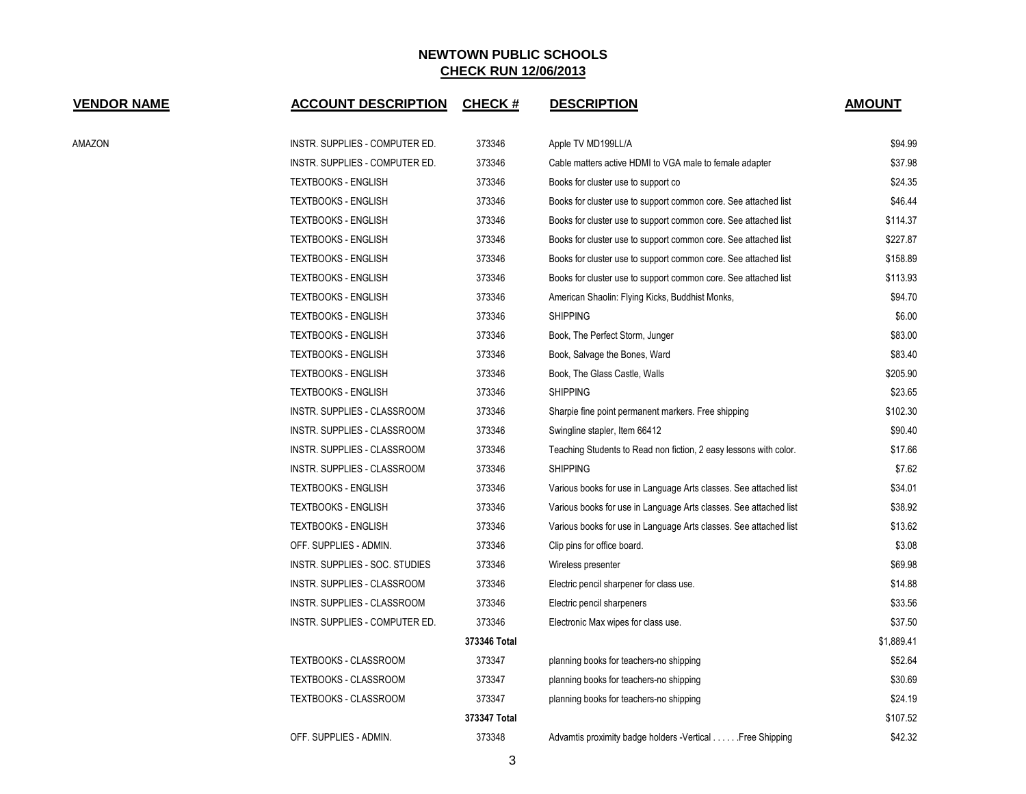| <b>VENDOR NAME</b> | <b>ACCOUNT DESCRIPTION</b>     | <b>CHECK#</b> | <b>DESCRIPTION</b>                                                | <b>AMOUNT</b> |
|--------------------|--------------------------------|---------------|-------------------------------------------------------------------|---------------|
| AMAZON             | INSTR. SUPPLIES - COMPUTER ED. | 373346        | Apple TV MD199LL/A                                                | \$94.99       |
|                    | INSTR. SUPPLIES - COMPUTER ED. | 373346        | Cable matters active HDMI to VGA male to female adapter           | \$37.98       |
|                    | <b>TEXTBOOKS - ENGLISH</b>     | 373346        | Books for cluster use to support co                               | \$24.35       |
|                    | <b>TEXTBOOKS - ENGLISH</b>     | 373346        | Books for cluster use to support common core. See attached list   | \$46.44       |
|                    | <b>TEXTBOOKS - ENGLISH</b>     | 373346        | Books for cluster use to support common core. See attached list   | \$114.37      |
|                    | <b>TEXTBOOKS - ENGLISH</b>     | 373346        | Books for cluster use to support common core. See attached list   | \$227.87      |
|                    | <b>TEXTBOOKS - ENGLISH</b>     | 373346        | Books for cluster use to support common core. See attached list   | \$158.89      |
|                    | <b>TEXTBOOKS - ENGLISH</b>     | 373346        | Books for cluster use to support common core. See attached list   | \$113.93      |
|                    | <b>TEXTBOOKS - ENGLISH</b>     | 373346        | American Shaolin: Flying Kicks, Buddhist Monks,                   | \$94.70       |
|                    | <b>TEXTBOOKS - ENGLISH</b>     | 373346        | <b>SHIPPING</b>                                                   | \$6.00        |
|                    | <b>TEXTBOOKS - ENGLISH</b>     | 373346        | Book, The Perfect Storm, Junger                                   | \$83.00       |
|                    | <b>TEXTBOOKS - ENGLISH</b>     | 373346        | Book, Salvage the Bones, Ward                                     | \$83.40       |
|                    | <b>TEXTBOOKS - ENGLISH</b>     | 373346        | Book, The Glass Castle, Walls                                     | \$205.90      |
|                    | <b>TEXTBOOKS - ENGLISH</b>     | 373346        | <b>SHIPPING</b>                                                   | \$23.65       |
|                    | INSTR. SUPPLIES - CLASSROOM    | 373346        | Sharpie fine point permanent markers. Free shipping               | \$102.30      |
|                    | INSTR. SUPPLIES - CLASSROOM    | 373346        | Swingline stapler, Item 66412                                     | \$90.40       |
|                    | INSTR. SUPPLIES - CLASSROOM    | 373346        | Teaching Students to Read non fiction, 2 easy lessons with color. | \$17.66       |
|                    | INSTR. SUPPLIES - CLASSROOM    | 373346        | <b>SHIPPING</b>                                                   | \$7.62        |
|                    | <b>TEXTBOOKS - ENGLISH</b>     | 373346        | Various books for use in Language Arts classes. See attached list | \$34.01       |
|                    | <b>TEXTBOOKS - ENGLISH</b>     | 373346        | Various books for use in Language Arts classes. See attached list | \$38.92       |
|                    | <b>TEXTBOOKS - ENGLISH</b>     | 373346        | Various books for use in Language Arts classes. See attached list | \$13.62       |
|                    | OFF. SUPPLIES - ADMIN.         | 373346        | Clip pins for office board.                                       | \$3.08        |
|                    | INSTR. SUPPLIES - SOC. STUDIES | 373346        | Wireless presenter                                                | \$69.98       |
|                    | INSTR. SUPPLIES - CLASSROOM    | 373346        | Electric pencil sharpener for class use.                          | \$14.88       |
|                    | INSTR. SUPPLIES - CLASSROOM    | 373346        | Electric pencil sharpeners                                        | \$33.56       |
|                    | INSTR. SUPPLIES - COMPUTER ED. | 373346        | Electronic Max wipes for class use.                               | \$37.50       |
|                    |                                | 373346 Total  |                                                                   | \$1,889.41    |
|                    | <b>TEXTBOOKS - CLASSROOM</b>   | 373347        | planning books for teachers-no shipping                           | \$52.64       |
|                    | <b>TEXTBOOKS - CLASSROOM</b>   | 373347        | planning books for teachers-no shipping                           | \$30.69       |
|                    | <b>TEXTBOOKS - CLASSROOM</b>   | 373347        | planning books for teachers-no shipping                           | \$24.19       |
|                    |                                | 373347 Total  |                                                                   | \$107.52      |
|                    | OFF. SUPPLIES - ADMIN.         | 373348        | Advamtis proximity badge holders -Vertical Free Shipping          | \$42.32       |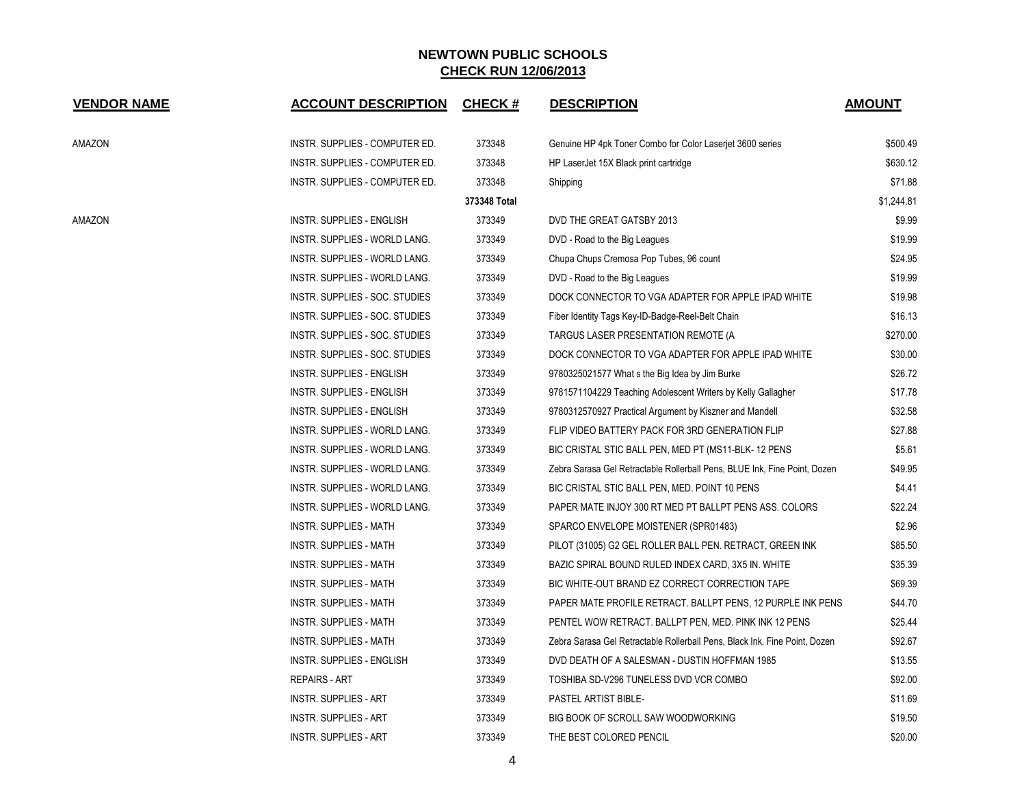| <b>VENDOR NAME</b> | <b>ACCOUNT DESCRIPTION</b>     | <b>CHECK#</b> | <b>DESCRIPTION</b>                                                         | <b>AMOUNT</b> |
|--------------------|--------------------------------|---------------|----------------------------------------------------------------------------|---------------|
| AMAZON             | INSTR. SUPPLIES - COMPUTER ED. | 373348        | Genuine HP 4pk Toner Combo for Color Laserjet 3600 series                  | \$500.49      |
|                    | INSTR. SUPPLIES - COMPUTER ED. | 373348        | HP LaserJet 15X Black print cartridge                                      | \$630.12      |
|                    | INSTR. SUPPLIES - COMPUTER ED. | 373348        | Shipping                                                                   | \$71.88       |
|                    |                                | 373348 Total  |                                                                            | \$1,244.81    |
| AMAZON             | INSTR. SUPPLIES - ENGLISH      | 373349        | DVD THE GREAT GATSBY 2013                                                  | \$9.99        |
|                    | INSTR. SUPPLIES - WORLD LANG.  | 373349        | DVD - Road to the Big Leagues                                              | \$19.99       |
|                    | INSTR. SUPPLIES - WORLD LANG.  | 373349        | Chupa Chups Cremosa Pop Tubes, 96 count                                    | \$24.95       |
|                    | INSTR. SUPPLIES - WORLD LANG.  | 373349        | DVD - Road to the Big Leagues                                              | \$19.99       |
|                    | INSTR. SUPPLIES - SOC. STUDIES | 373349        | DOCK CONNECTOR TO VGA ADAPTER FOR APPLE IPAD WHITE                         | \$19.98       |
|                    | INSTR. SUPPLIES - SOC. STUDIES | 373349        | Fiber Identity Tags Key-ID-Badge-Reel-Belt Chain                           | \$16.13       |
|                    | INSTR. SUPPLIES - SOC. STUDIES | 373349        | TARGUS LASER PRESENTATION REMOTE (A                                        | \$270.00      |
|                    | INSTR. SUPPLIES - SOC. STUDIES | 373349        | DOCK CONNECTOR TO VGA ADAPTER FOR APPLE IPAD WHITE                         | \$30.00       |
|                    | INSTR. SUPPLIES - ENGLISH      | 373349        | 9780325021577 What s the Big Idea by Jim Burke                             | \$26.72       |
|                    | INSTR. SUPPLIES - ENGLISH      | 373349        | 9781571104229 Teaching Adolescent Writers by Kelly Gallagher               | \$17.78       |
|                    | INSTR. SUPPLIES - ENGLISH      | 373349        | 9780312570927 Practical Argument by Kiszner and Mandell                    | \$32.58       |
|                    | INSTR. SUPPLIES - WORLD LANG.  | 373349        | FLIP VIDEO BATTERY PACK FOR 3RD GENERATION FLIP                            | \$27.88       |
|                    | INSTR. SUPPLIES - WORLD LANG.  | 373349        | BIC CRISTAL STIC BALL PEN, MED PT (MS11-BLK-12 PENS                        | \$5.61        |
|                    | INSTR. SUPPLIES - WORLD LANG.  | 373349        | Zebra Sarasa Gel Retractable Rollerball Pens, BLUE Ink, Fine Point, Dozen  | \$49.95       |
|                    | INSTR. SUPPLIES - WORLD LANG.  | 373349        | BIC CRISTAL STIC BALL PEN, MED. POINT 10 PENS                              | \$4.41        |
|                    | INSTR. SUPPLIES - WORLD LANG.  | 373349        | PAPER MATE INJOY 300 RT MED PT BALLPT PENS ASS. COLORS                     | \$22.24       |
|                    | <b>INSTR. SUPPLIES - MATH</b>  | 373349        | SPARCO ENVELOPE MOISTENER (SPR01483)                                       | \$2.96        |
|                    | INSTR. SUPPLIES - MATH         | 373349        | PILOT (31005) G2 GEL ROLLER BALL PEN. RETRACT, GREEN INK                   | \$85.50       |
|                    | INSTR. SUPPLIES - MATH         | 373349        | BAZIC SPIRAL BOUND RULED INDEX CARD, 3X5 IN. WHITE                         | \$35.39       |
|                    | INSTR. SUPPLIES - MATH         | 373349        | BIC WHITE-OUT BRAND EZ CORRECT CORRECTION TAPE                             | \$69.39       |
|                    | INSTR. SUPPLIES - MATH         | 373349        | PAPER MATE PROFILE RETRACT. BALLPT PENS, 12 PURPLE INK PENS                | \$44.70       |
|                    | INSTR. SUPPLIES - MATH         | 373349        | PENTEL WOW RETRACT. BALLPT PEN, MED. PINK INK 12 PENS                      | \$25.44       |
|                    | INSTR. SUPPLIES - MATH         | 373349        | Zebra Sarasa Gel Retractable Rollerball Pens, Black Ink, Fine Point, Dozen | \$92.67       |
|                    | INSTR. SUPPLIES - ENGLISH      | 373349        | DVD DEATH OF A SALESMAN - DUSTIN HOFFMAN 1985                              | \$13.55       |
|                    | <b>REPAIRS - ART</b>           | 373349        | TOSHIBA SD-V296 TUNELESS DVD VCR COMBO                                     | \$92.00       |
|                    | INSTR. SUPPLIES - ART          | 373349        | PASTEL ARTIST BIBLE-                                                       | \$11.69       |
|                    | INSTR. SUPPLIES - ART          | 373349        | BIG BOOK OF SCROLL SAW WOODWORKING                                         | \$19.50       |
|                    | <b>INSTR. SUPPLIES - ART</b>   | 373349        | THE BEST COLORED PENCIL                                                    | \$20.00       |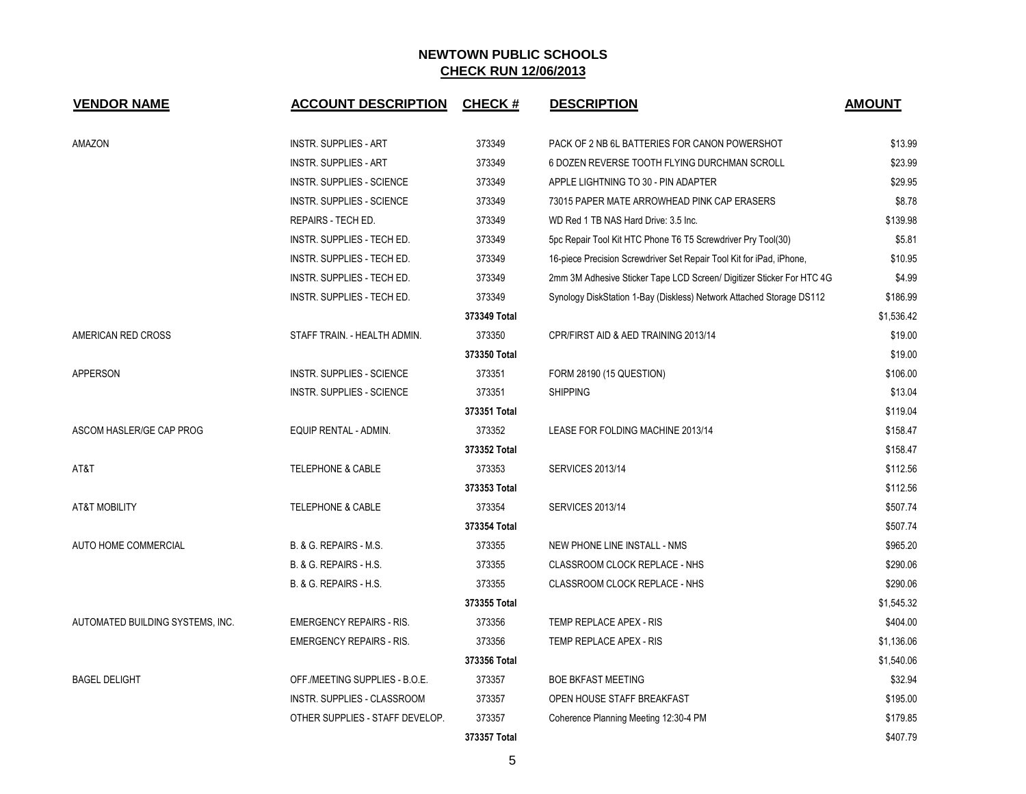| <b>VENDOR NAME</b>               | <b>ACCOUNT DESCRIPTION</b>       | <b>CHECK#</b> | <b>DESCRIPTION</b>                                                    | <b>AMOUNT</b> |
|----------------------------------|----------------------------------|---------------|-----------------------------------------------------------------------|---------------|
| AMAZON                           | <b>INSTR. SUPPLIES - ART</b>     | 373349        | PACK OF 2 NB 6L BATTERIES FOR CANON POWERSHOT                         | \$13.99       |
|                                  | <b>INSTR. SUPPLIES - ART</b>     | 373349        | 6 DOZEN REVERSE TOOTH FLYING DURCHMAN SCROLL                          | \$23.99       |
|                                  | INSTR. SUPPLIES - SCIENCE        | 373349        | APPLE LIGHTNING TO 30 - PIN ADAPTER                                   | \$29.95       |
|                                  | INSTR. SUPPLIES - SCIENCE        | 373349        | 73015 PAPER MATE ARROWHEAD PINK CAP ERASERS                           | \$8.78        |
|                                  | REPAIRS - TECH ED.               | 373349        | WD Red 1 TB NAS Hard Drive: 3.5 Inc.                                  | \$139.98      |
|                                  | INSTR. SUPPLIES - TECH ED.       | 373349        | 5pc Repair Tool Kit HTC Phone T6 T5 Screwdriver Pry Tool(30)          | \$5.81        |
|                                  | INSTR. SUPPLIES - TECH ED.       | 373349        | 16-piece Precision Screwdriver Set Repair Tool Kit for iPad, iPhone,  | \$10.95       |
|                                  | INSTR. SUPPLIES - TECH ED.       | 373349        | 2mm 3M Adhesive Sticker Tape LCD Screen/ Digitizer Sticker For HTC 4G | \$4.99        |
|                                  | INSTR. SUPPLIES - TECH ED.       | 373349        | Synology DiskStation 1-Bay (Diskless) Network Attached Storage DS112  | \$186.99      |
|                                  |                                  | 373349 Total  |                                                                       | \$1,536.42    |
| AMERICAN RED CROSS               | STAFF TRAIN. - HEALTH ADMIN.     | 373350        | CPR/FIRST AID & AED TRAINING 2013/14                                  | \$19.00       |
|                                  |                                  | 373350 Total  |                                                                       | \$19.00       |
| <b>APPERSON</b>                  | INSTR. SUPPLIES - SCIENCE        | 373351        | FORM 28190 (15 QUESTION)                                              | \$106.00      |
|                                  | <b>INSTR. SUPPLIES - SCIENCE</b> | 373351        | <b>SHIPPING</b>                                                       | \$13.04       |
|                                  |                                  | 373351 Total  |                                                                       | \$119.04      |
| ASCOM HASLER/GE CAP PROG         | EQUIP RENTAL - ADMIN.            | 373352        | LEASE FOR FOLDING MACHINE 2013/14                                     | \$158.47      |
|                                  |                                  | 373352 Total  |                                                                       | \$158.47      |
| AT&T                             | <b>TELEPHONE &amp; CABLE</b>     | 373353        | <b>SERVICES 2013/14</b>                                               | \$112.56      |
|                                  |                                  | 373353 Total  |                                                                       | \$112.56      |
| <b>AT&amp;T MOBILITY</b>         | <b>TELEPHONE &amp; CABLE</b>     | 373354        | <b>SERVICES 2013/14</b>                                               | \$507.74      |
|                                  |                                  | 373354 Total  |                                                                       | \$507.74      |
| AUTO HOME COMMERCIAL             | B. & G. REPAIRS - M.S.           | 373355        | NEW PHONE LINE INSTALL - NMS                                          | \$965.20      |
|                                  | B. & G. REPAIRS - H.S.           | 373355        | CLASSROOM CLOCK REPLACE - NHS                                         | \$290.06      |
|                                  | B. & G. REPAIRS - H.S.           | 373355        | CLASSROOM CLOCK REPLACE - NHS                                         | \$290.06      |
|                                  |                                  | 373355 Total  |                                                                       | \$1,545.32    |
| AUTOMATED BUILDING SYSTEMS, INC. | <b>EMERGENCY REPAIRS - RIS.</b>  | 373356        | TEMP REPLACE APEX - RIS                                               | \$404.00      |
|                                  | <b>EMERGENCY REPAIRS - RIS.</b>  | 373356        | TEMP REPLACE APEX - RIS                                               | \$1,136.06    |
|                                  |                                  | 373356 Total  |                                                                       | \$1,540.06    |
| <b>BAGEL DELIGHT</b>             | OFF./MEETING SUPPLIES - B.O.E.   | 373357        | <b>BOE BKFAST MEETING</b>                                             | \$32.94       |
|                                  | INSTR. SUPPLIES - CLASSROOM      | 373357        | OPEN HOUSE STAFF BREAKFAST                                            | \$195.00      |
|                                  | OTHER SUPPLIES - STAFF DEVELOP.  | 373357        | Coherence Planning Meeting 12:30-4 PM                                 | \$179.85      |
|                                  |                                  | 373357 Total  |                                                                       | \$407.79      |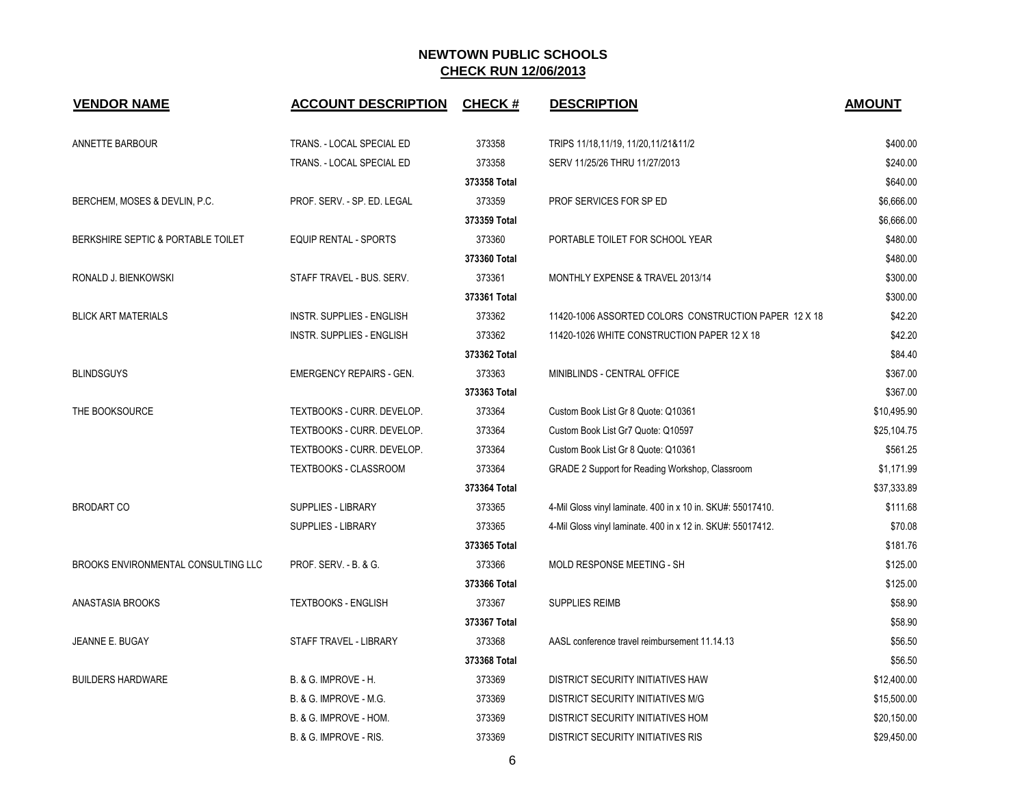| <b>VENDOR NAME</b>                  | <b>ACCOUNT DESCRIPTION</b>       | <b>CHECK#</b> | <b>DESCRIPTION</b>                                          | <b>AMOUNT</b> |
|-------------------------------------|----------------------------------|---------------|-------------------------------------------------------------|---------------|
| ANNETTE BARBOUR                     | TRANS. - LOCAL SPECIAL ED        | 373358        | TRIPS 11/18,11/19, 11/20,11/21&11/2                         | \$400.00      |
|                                     | TRANS. - LOCAL SPECIAL ED        | 373358        | SERV 11/25/26 THRU 11/27/2013                               | \$240.00      |
|                                     |                                  | 373358 Total  |                                                             | \$640.00      |
| BERCHEM, MOSES & DEVLIN, P.C.       | PROF. SERV. - SP. ED. LEGAL      | 373359        | PROF SERVICES FOR SP ED                                     | \$6,666.00    |
|                                     |                                  | 373359 Total  |                                                             | \$6,666.00    |
| BERKSHIRE SEPTIC & PORTABLE TOILET  | <b>EQUIP RENTAL - SPORTS</b>     | 373360        | PORTABLE TOILET FOR SCHOOL YEAR                             | \$480.00      |
|                                     |                                  | 373360 Total  |                                                             | \$480.00      |
| RONALD J. BIENKOWSKI                | STAFF TRAVEL - BUS. SERV.        | 373361        | MONTHLY EXPENSE & TRAVEL 2013/14                            | \$300.00      |
|                                     |                                  | 373361 Total  |                                                             | \$300.00      |
| <b>BLICK ART MATERIALS</b>          | <b>INSTR. SUPPLIES - ENGLISH</b> | 373362        | 11420-1006 ASSORTED COLORS CONSTRUCTION PAPER 12 X 18       | \$42.20       |
|                                     | <b>INSTR. SUPPLIES - ENGLISH</b> | 373362        | 11420-1026 WHITE CONSTRUCTION PAPER 12 X 18                 | \$42.20       |
|                                     |                                  | 373362 Total  |                                                             | \$84.40       |
| <b>BLINDSGUYS</b>                   | <b>EMERGENCY REPAIRS - GEN.</b>  | 373363        | MINIBLINDS - CENTRAL OFFICE                                 | \$367.00      |
|                                     |                                  | 373363 Total  |                                                             | \$367.00      |
| THE BOOKSOURCE                      | TEXTBOOKS - CURR. DEVELOP.       | 373364        | Custom Book List Gr 8 Quote: Q10361                         | \$10,495.90   |
|                                     | TEXTBOOKS - CURR. DEVELOP.       | 373364        | Custom Book List Gr7 Quote: Q10597                          | \$25,104.75   |
|                                     | TEXTBOOKS - CURR. DEVELOP.       | 373364        | Custom Book List Gr 8 Quote: Q10361                         | \$561.25      |
|                                     | TEXTBOOKS - CLASSROOM            | 373364        | GRADE 2 Support for Reading Workshop, Classroom             | \$1,171.99    |
|                                     |                                  | 373364 Total  |                                                             | \$37,333.89   |
| <b>BRODART CO</b>                   | <b>SUPPLIES - LIBRARY</b>        | 373365        | 4-Mil Gloss vinyl laminate. 400 in x 10 in. SKU#: 55017410. | \$111.68      |
|                                     | <b>SUPPLIES - LIBRARY</b>        | 373365        | 4-Mil Gloss vinyl laminate. 400 in x 12 in. SKU#: 55017412. | \$70.08       |
|                                     |                                  | 373365 Total  |                                                             | \$181.76      |
| BROOKS ENVIRONMENTAL CONSULTING LLC | <b>PROF. SERV. - B. &amp; G.</b> | 373366        | MOLD RESPONSE MEETING - SH                                  | \$125.00      |
|                                     |                                  | 373366 Total  |                                                             | \$125.00      |
| ANASTASIA BROOKS                    | <b>TEXTBOOKS - ENGLISH</b>       | 373367        | <b>SUPPLIES REIMB</b>                                       | \$58.90       |
|                                     |                                  | 373367 Total  |                                                             | \$58.90       |
| JEANNE E. BUGAY                     | STAFF TRAVEL - LIBRARY           | 373368        | AASL conference travel reimbursement 11.14.13               | \$56.50       |
|                                     |                                  | 373368 Total  |                                                             | \$56.50       |
| <b>BUILDERS HARDWARE</b>            | B. & G. IMPROVE - H.             | 373369        | DISTRICT SECURITY INITIATIVES HAW                           | \$12,400.00   |
|                                     | B. & G. IMPROVE - M.G.           | 373369        | <b>DISTRICT SECURITY INITIATIVES M/G</b>                    | \$15,500.00   |
|                                     | B. & G. IMPROVE - HOM.           | 373369        | DISTRICT SECURITY INITIATIVES HOM                           | \$20,150.00   |
|                                     | B. & G. IMPROVE - RIS.           | 373369        | <b>DISTRICT SECURITY INITIATIVES RIS</b>                    | \$29,450.00   |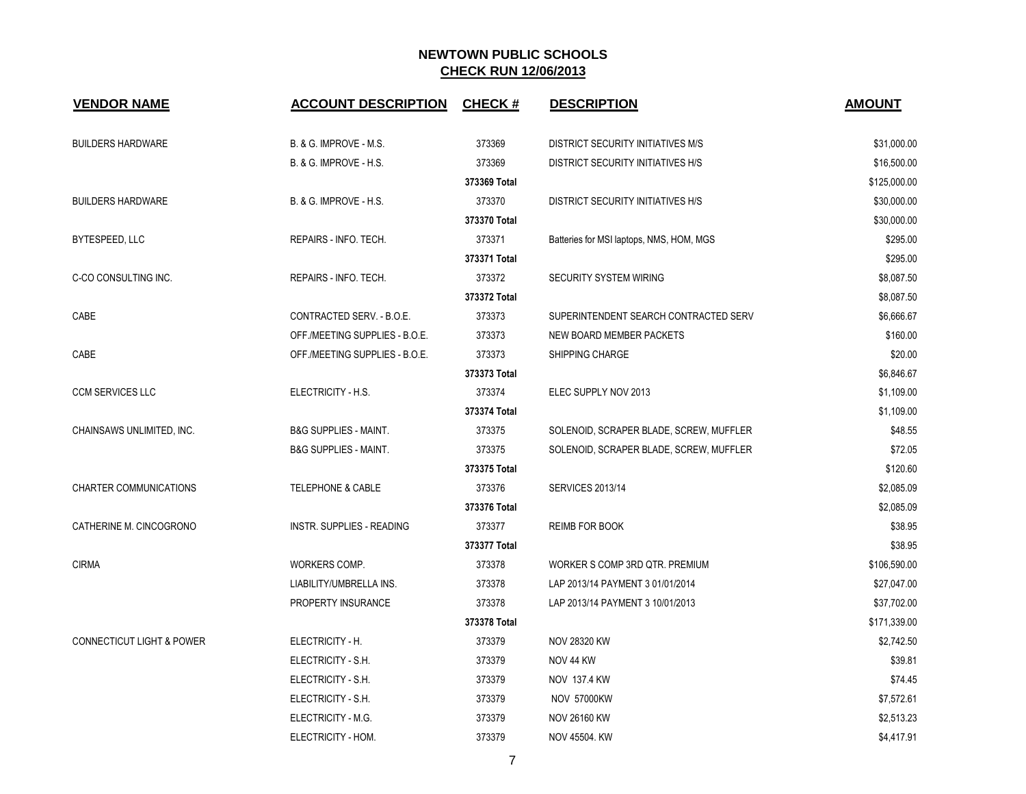| <b>VENDOR NAME</b>                   | <b>ACCOUNT DESCRIPTION</b>       | <b>CHECK#</b> | <b>DESCRIPTION</b>                       | <b>AMOUNT</b> |
|--------------------------------------|----------------------------------|---------------|------------------------------------------|---------------|
| <b>BUILDERS HARDWARE</b>             | B. & G. IMPROVE - M.S.           | 373369        | DISTRICT SECURITY INITIATIVES M/S        | \$31,000.00   |
|                                      | B. & G. IMPROVE - H.S.           | 373369        | DISTRICT SECURITY INITIATIVES H/S        | \$16,500.00   |
|                                      |                                  | 373369 Total  |                                          | \$125,000.00  |
| <b>BUILDERS HARDWARE</b>             | B. & G. IMPROVE - H.S.           | 373370        | <b>DISTRICT SECURITY INITIATIVES H/S</b> | \$30,000.00   |
|                                      |                                  | 373370 Total  |                                          | \$30,000.00   |
| BYTESPEED, LLC                       | REPAIRS - INFO. TECH.            | 373371        | Batteries for MSI laptops, NMS, HOM, MGS | \$295.00      |
|                                      |                                  | 373371 Total  |                                          | \$295.00      |
| C-CO CONSULTING INC.                 | REPAIRS - INFO. TECH.            | 373372        | <b>SECURITY SYSTEM WIRING</b>            | \$8,087.50    |
|                                      |                                  | 373372 Total  |                                          | \$8,087.50    |
| CABE                                 | CONTRACTED SERV. - B.O.E.        | 373373        | SUPERINTENDENT SEARCH CONTRACTED SERV    | \$6,666.67    |
|                                      | OFF./MEETING SUPPLIES - B.O.E.   | 373373        | NEW BOARD MEMBER PACKETS                 | \$160.00      |
| CABE                                 | OFF./MEETING SUPPLIES - B.O.E.   | 373373        | SHIPPING CHARGE                          | \$20.00       |
|                                      |                                  | 373373 Total  |                                          | \$6,846.67    |
| <b>CCM SERVICES LLC</b>              | ELECTRICITY - H.S.               | 373374        | ELEC SUPPLY NOV 2013                     | \$1,109.00    |
|                                      |                                  | 373374 Total  |                                          | \$1,109.00    |
| CHAINSAWS UNLIMITED, INC.            | <b>B&amp;G SUPPLIES - MAINT.</b> | 373375        | SOLENOID, SCRAPER BLADE, SCREW, MUFFLER  | \$48.55       |
|                                      | <b>B&amp;G SUPPLIES - MAINT.</b> | 373375        | SOLENOID, SCRAPER BLADE, SCREW, MUFFLER  | \$72.05       |
|                                      |                                  | 373375 Total  |                                          | \$120.60      |
| <b>CHARTER COMMUNICATIONS</b>        | <b>TELEPHONE &amp; CABLE</b>     | 373376        | <b>SERVICES 2013/14</b>                  | \$2,085.09    |
|                                      |                                  | 373376 Total  |                                          | \$2,085.09    |
| CATHERINE M. CINCOGRONO              | INSTR. SUPPLIES - READING        | 373377        | <b>REIMB FOR BOOK</b>                    | \$38.95       |
|                                      |                                  | 373377 Total  |                                          | \$38.95       |
| <b>CIRMA</b>                         | WORKERS COMP.                    | 373378        | WORKER S COMP 3RD QTR. PREMIUM           | \$106,590.00  |
|                                      | LIABILITY/UMBRELLA INS.          | 373378        | LAP 2013/14 PAYMENT 3 01/01/2014         | \$27,047.00   |
|                                      | PROPERTY INSURANCE               | 373378        | LAP 2013/14 PAYMENT 3 10/01/2013         | \$37,702.00   |
|                                      |                                  | 373378 Total  |                                          | \$171,339.00  |
| <b>CONNECTICUT LIGHT &amp; POWER</b> | ELECTRICITY - H.                 | 373379        | <b>NOV 28320 KW</b>                      | \$2,742.50    |
|                                      | ELECTRICITY - S.H.               | 373379        | NOV 44 KW                                | \$39.81       |
|                                      | ELECTRICITY - S.H.               | 373379        | NOV 137.4 KW                             | \$74.45       |
|                                      | ELECTRICITY - S.H.               | 373379        | <b>NOV 57000KW</b>                       | \$7,572.61    |
|                                      | ELECTRICITY - M.G.               | 373379        | <b>NOV 26160 KW</b>                      | \$2,513.23    |
|                                      | ELECTRICITY - HOM.               | 373379        | NOV 45504. KW                            | \$4,417.91    |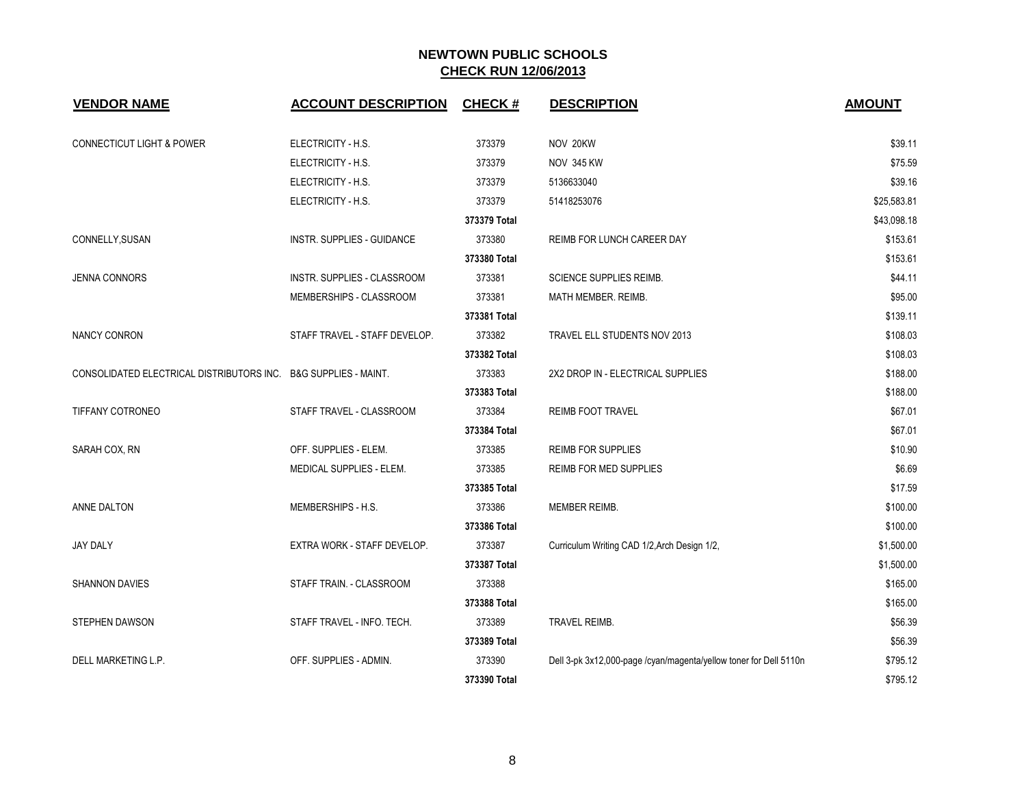| <b>VENDOR NAME</b>                                              | <b>ACCOUNT DESCRIPTION</b>        | <b>CHECK#</b> | <b>DESCRIPTION</b>                                                | <b>AMOUNT</b> |
|-----------------------------------------------------------------|-----------------------------------|---------------|-------------------------------------------------------------------|---------------|
| <b>CONNECTICUT LIGHT &amp; POWER</b>                            | ELECTRICITY - H.S.                | 373379        | NOV 20KW                                                          | \$39.11       |
|                                                                 | ELECTRICITY - H.S.                | 373379        | <b>NOV 345 KW</b>                                                 | \$75.59       |
|                                                                 | ELECTRICITY - H.S.                | 373379        | 5136633040                                                        | \$39.16       |
|                                                                 | ELECTRICITY - H.S.                | 373379        | 51418253076                                                       | \$25,583.81   |
|                                                                 |                                   | 373379 Total  |                                                                   | \$43,098.18   |
| CONNELLY, SUSAN                                                 | <b>INSTR. SUPPLIES - GUIDANCE</b> | 373380        | REIMB FOR LUNCH CAREER DAY                                        | \$153.61      |
|                                                                 |                                   | 373380 Total  |                                                                   | \$153.61      |
| <b>JENNA CONNORS</b>                                            | INSTR. SUPPLIES - CLASSROOM       | 373381        | SCIENCE SUPPLIES REIMB.                                           | \$44.11       |
|                                                                 | MEMBERSHIPS - CLASSROOM           | 373381        | MATH MEMBER. REIMB.                                               | \$95.00       |
|                                                                 |                                   | 373381 Total  |                                                                   | \$139.11      |
| <b>NANCY CONRON</b>                                             | STAFF TRAVEL - STAFF DEVELOP.     | 373382        | TRAVEL ELL STUDENTS NOV 2013                                      | \$108.03      |
|                                                                 |                                   | 373382 Total  |                                                                   | \$108.03      |
| CONSOLIDATED ELECTRICAL DISTRIBUTORS INC. B&G SUPPLIES - MAINT. |                                   | 373383        | 2X2 DROP IN - ELECTRICAL SUPPLIES                                 | \$188.00      |
|                                                                 |                                   | 373383 Total  |                                                                   | \$188.00      |
| TIFFANY COTRONEO                                                | STAFF TRAVEL - CLASSROOM          | 373384        | <b>REIMB FOOT TRAVEL</b>                                          | \$67.01       |
|                                                                 |                                   | 373384 Total  |                                                                   | \$67.01       |
| SARAH COX, RN                                                   | OFF. SUPPLIES - ELEM.             | 373385        | <b>REIMB FOR SUPPLIES</b>                                         | \$10.90       |
|                                                                 | <b>MEDICAL SUPPLIES - ELEM.</b>   | 373385        | REIMB FOR MED SUPPLIES                                            | \$6.69        |
|                                                                 |                                   | 373385 Total  |                                                                   | \$17.59       |
| ANNE DALTON                                                     | MEMBERSHIPS - H.S.                | 373386        | MEMBER REIMB.                                                     | \$100.00      |
|                                                                 |                                   | 373386 Total  |                                                                   | \$100.00      |
| <b>JAY DALY</b>                                                 | EXTRA WORK - STAFF DEVELOP.       | 373387        | Curriculum Writing CAD 1/2, Arch Design 1/2,                      | \$1,500.00    |
|                                                                 |                                   | 373387 Total  |                                                                   | \$1,500.00    |
| <b>SHANNON DAVIES</b>                                           | STAFF TRAIN. - CLASSROOM          | 373388        |                                                                   | \$165.00      |
|                                                                 |                                   | 373388 Total  |                                                                   | \$165.00      |
| <b>STEPHEN DAWSON</b>                                           | STAFF TRAVEL - INFO. TECH.        | 373389        | TRAVEL REIMB.                                                     | \$56.39       |
|                                                                 |                                   | 373389 Total  |                                                                   | \$56.39       |
| DELL MARKETING L.P.                                             | OFF. SUPPLIES - ADMIN.            | 373390        | Dell 3-pk 3x12,000-page /cyan/magenta/yellow toner for Dell 5110n | \$795.12      |
|                                                                 |                                   | 373390 Total  |                                                                   | \$795.12      |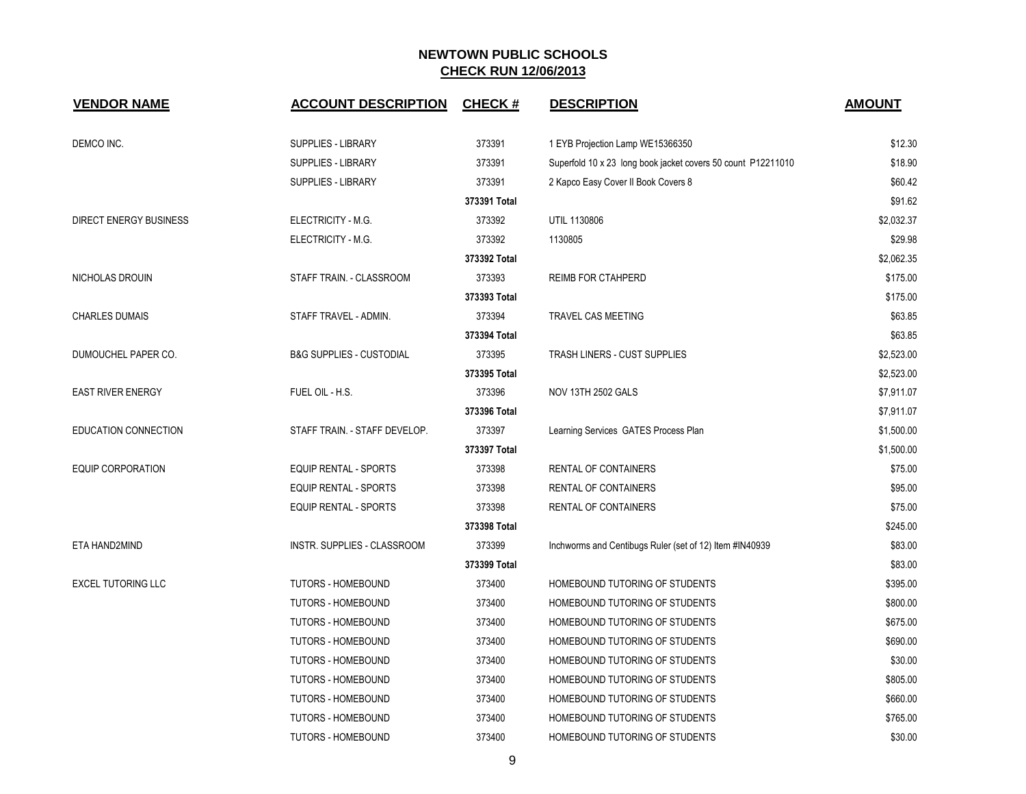| <b>VENDOR NAME</b>        | <b>ACCOUNT DESCRIPTION</b>          | <b>CHECK#</b> | <b>DESCRIPTION</b>                                           | <b>AMOUNT</b> |
|---------------------------|-------------------------------------|---------------|--------------------------------------------------------------|---------------|
| DEMCO INC.                | SUPPLIES - LIBRARY                  | 373391        | 1 EYB Projection Lamp WE15366350                             | \$12.30       |
|                           | SUPPLIES - LIBRARY                  | 373391        | Superfold 10 x 23 long book jacket covers 50 count P12211010 | \$18.90       |
|                           | SUPPLIES - LIBRARY                  | 373391        | 2 Kapco Easy Cover II Book Covers 8                          | \$60.42       |
|                           |                                     | 373391 Total  |                                                              | \$91.62       |
| DIRECT ENERGY BUSINESS    | ELECTRICITY - M.G.                  | 373392        | UTIL 1130806                                                 | \$2,032.37    |
|                           | ELECTRICITY - M.G.                  | 373392        | 1130805                                                      | \$29.98       |
|                           |                                     | 373392 Total  |                                                              | \$2,062.35    |
| NICHOLAS DROUIN           | STAFF TRAIN. - CLASSROOM            | 373393        | <b>REIMB FOR CTAHPERD</b>                                    | \$175.00      |
|                           |                                     | 373393 Total  |                                                              | \$175.00      |
| <b>CHARLES DUMAIS</b>     | STAFF TRAVEL - ADMIN.               | 373394        | TRAVEL CAS MEETING                                           | \$63.85       |
|                           |                                     | 373394 Total  |                                                              | \$63.85       |
| DUMOUCHEL PAPER CO.       | <b>B&amp;G SUPPLIES - CUSTODIAL</b> | 373395        | TRASH LINERS - CUST SUPPLIES                                 | \$2,523.00    |
|                           |                                     | 373395 Total  |                                                              | \$2,523.00    |
| <b>EAST RIVER ENERGY</b>  | FUEL OIL - H.S.                     | 373396        | NOV 13TH 2502 GALS                                           | \$7,911.07    |
|                           |                                     | 373396 Total  |                                                              | \$7,911.07    |
| EDUCATION CONNECTION      | STAFF TRAIN. - STAFF DEVELOP.       | 373397        | Learning Services GATES Process Plan                         | \$1,500.00    |
|                           |                                     | 373397 Total  |                                                              | \$1,500.00    |
| <b>EQUIP CORPORATION</b>  | <b>EQUIP RENTAL - SPORTS</b>        | 373398        | RENTAL OF CONTAINERS                                         | \$75.00       |
|                           | <b>EQUIP RENTAL - SPORTS</b>        | 373398        | RENTAL OF CONTAINERS                                         | \$95.00       |
|                           | <b>EQUIP RENTAL - SPORTS</b>        | 373398        | RENTAL OF CONTAINERS                                         | \$75.00       |
|                           |                                     | 373398 Total  |                                                              | \$245.00      |
| ETA HAND2MIND             | INSTR. SUPPLIES - CLASSROOM         | 373399        | Inchworms and Centibugs Ruler (set of 12) Item #IN40939      | \$83.00       |
|                           |                                     | 373399 Total  |                                                              | \$83.00       |
| <b>EXCEL TUTORING LLC</b> | <b>TUTORS - HOMEBOUND</b>           | 373400        | HOMEBOUND TUTORING OF STUDENTS                               | \$395.00      |
|                           | TUTORS - HOMEBOUND                  | 373400        | HOMEBOUND TUTORING OF STUDENTS                               | \$800.00      |
|                           | TUTORS - HOMEBOUND                  | 373400        | HOMEBOUND TUTORING OF STUDENTS                               | \$675.00      |
|                           | TUTORS - HOMEBOUND                  | 373400        | HOMEBOUND TUTORING OF STUDENTS                               | \$690.00      |
|                           | TUTORS - HOMEBOUND                  | 373400        | HOMEBOUND TUTORING OF STUDENTS                               | \$30.00       |
|                           | <b>TUTORS - HOMEBOUND</b>           | 373400        | HOMEBOUND TUTORING OF STUDENTS                               | \$805.00      |
|                           | <b>TUTORS - HOMEBOUND</b>           | 373400        | HOMEBOUND TUTORING OF STUDENTS                               | \$660.00      |
|                           | TUTORS - HOMEBOUND                  | 373400        | HOMEBOUND TUTORING OF STUDENTS                               | \$765.00      |
|                           | TUTORS - HOMEBOUND                  | 373400        | HOMEBOUND TUTORING OF STUDENTS                               | \$30.00       |

9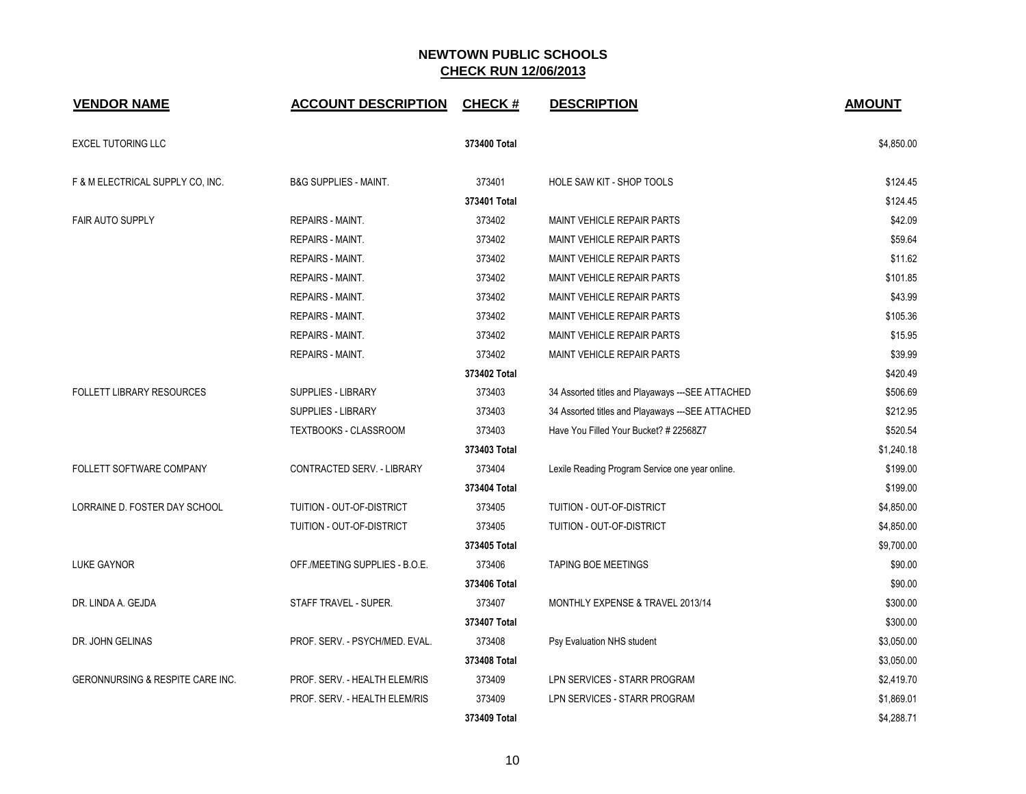| <b>VENDOR NAME</b>               | <b>ACCOUNT DESCRIPTION</b>       | <b>CHECK#</b> | <b>DESCRIPTION</b>                                | <b>AMOUNT</b> |
|----------------------------------|----------------------------------|---------------|---------------------------------------------------|---------------|
| <b>EXCEL TUTORING LLC</b>        |                                  | 373400 Total  |                                                   | \$4,850.00    |
| F & M ELECTRICAL SUPPLY CO, INC. | <b>B&amp;G SUPPLIES - MAINT.</b> | 373401        | HOLE SAW KIT - SHOP TOOLS                         | \$124.45      |
|                                  |                                  | 373401 Total  |                                                   | \$124.45      |
| FAIR AUTO SUPPLY                 | <b>REPAIRS - MAINT.</b>          | 373402        | <b>MAINT VEHICLE REPAIR PARTS</b>                 | \$42.09       |
|                                  | <b>REPAIRS - MAINT.</b>          | 373402        | MAINT VEHICLE REPAIR PARTS                        | \$59.64       |
|                                  | <b>REPAIRS - MAINT.</b>          | 373402        | <b>MAINT VEHICLE REPAIR PARTS</b>                 | \$11.62       |
|                                  | <b>REPAIRS - MAINT.</b>          | 373402        | <b>MAINT VEHICLE REPAIR PARTS</b>                 | \$101.85      |
|                                  | <b>REPAIRS - MAINT.</b>          | 373402        | MAINT VEHICLE REPAIR PARTS                        | \$43.99       |
|                                  | <b>REPAIRS - MAINT.</b>          | 373402        | <b>MAINT VEHICLE REPAIR PARTS</b>                 | \$105.36      |
|                                  | <b>REPAIRS - MAINT.</b>          | 373402        | <b>MAINT VEHICLE REPAIR PARTS</b>                 | \$15.95       |
|                                  | <b>REPAIRS - MAINT.</b>          | 373402        | <b>MAINT VEHICLE REPAIR PARTS</b>                 | \$39.99       |
|                                  |                                  | 373402 Total  |                                                   | \$420.49      |
| <b>FOLLETT LIBRARY RESOURCES</b> | <b>SUPPLIES - LIBRARY</b>        | 373403        | 34 Assorted titles and Playaways --- SEE ATTACHED | \$506.69      |
|                                  | SUPPLIES - LIBRARY               | 373403        | 34 Assorted titles and Playaways --- SEE ATTACHED | \$212.95      |
|                                  | TEXTBOOKS - CLASSROOM            | 373403        | Have You Filled Your Bucket? # 22568Z7            | \$520.54      |
|                                  |                                  | 373403 Total  |                                                   | \$1,240.18    |
| FOLLETT SOFTWARE COMPANY         | CONTRACTED SERV. - LIBRARY       | 373404        | Lexile Reading Program Service one year online.   | \$199.00      |
|                                  |                                  | 373404 Total  |                                                   | \$199.00      |
| LORRAINE D. FOSTER DAY SCHOOL    | TUITION - OUT-OF-DISTRICT        | 373405        | TUITION - OUT-OF-DISTRICT                         | \$4,850.00    |
|                                  | TUITION - OUT-OF-DISTRICT        | 373405        | TUITION - OUT-OF-DISTRICT                         | \$4,850.00    |
|                                  |                                  | 373405 Total  |                                                   | \$9,700.00    |
| <b>LUKE GAYNOR</b>               | OFF./MEETING SUPPLIES - B.O.E.   | 373406        | <b>TAPING BOE MEETINGS</b>                        | \$90.00       |
|                                  |                                  | 373406 Total  |                                                   | \$90.00       |
| DR. LINDA A. GEJDA               | STAFF TRAVEL - SUPER.            | 373407        | MONTHLY EXPENSE & TRAVEL 2013/14                  | \$300.00      |
|                                  |                                  | 373407 Total  |                                                   | \$300.00      |
| DR. JOHN GELINAS                 | PROF. SERV. - PSYCH/MED. EVAL.   | 373408        | Psy Evaluation NHS student                        | \$3,050.00    |
|                                  |                                  | 373408 Total  |                                                   | \$3,050.00    |
| GERONNURSING & RESPITE CARE INC. | PROF. SERV. - HEALTH ELEM/RIS    | 373409        | LPN SERVICES - STARR PROGRAM                      | \$2,419.70    |
|                                  | PROF. SERV. - HEALTH ELEM/RIS    | 373409        | LPN SERVICES - STARR PROGRAM                      | \$1,869.01    |
|                                  |                                  | 373409 Total  |                                                   | \$4,288.71    |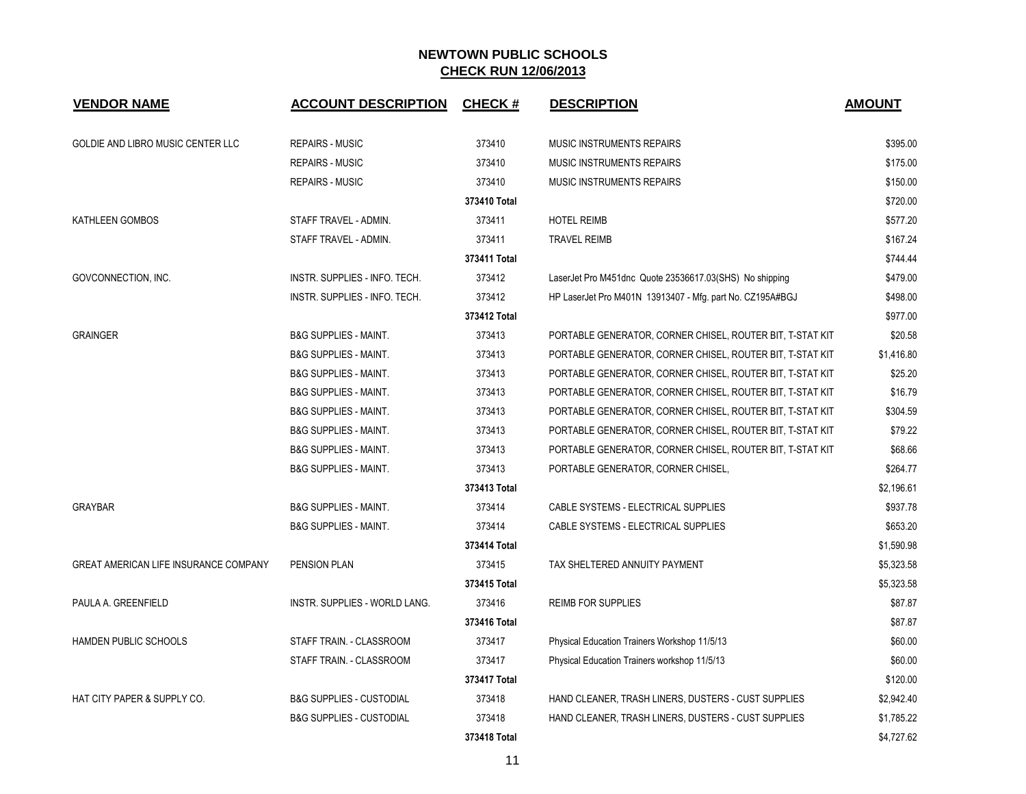| <b>VENDOR NAME</b>                           | <b>ACCOUNT DESCRIPTION</b>          | <b>CHECK#</b> | <b>DESCRIPTION</b>                                        | <b>AMOUNT</b> |
|----------------------------------------------|-------------------------------------|---------------|-----------------------------------------------------------|---------------|
| GOLDIE AND LIBRO MUSIC CENTER LLC            | <b>REPAIRS - MUSIC</b>              | 373410        | MUSIC INSTRUMENTS REPAIRS                                 | \$395.00      |
|                                              | <b>REPAIRS - MUSIC</b>              | 373410        | MUSIC INSTRUMENTS REPAIRS                                 | \$175.00      |
|                                              | <b>REPAIRS - MUSIC</b>              | 373410        | MUSIC INSTRUMENTS REPAIRS                                 | \$150.00      |
|                                              |                                     | 373410 Total  |                                                           | \$720.00      |
| KATHLEEN GOMBOS                              | STAFF TRAVEL - ADMIN.               | 373411        | <b>HOTEL REIMB</b>                                        | \$577.20      |
|                                              | STAFF TRAVEL - ADMIN.               | 373411        | <b>TRAVEL REIMB</b>                                       | \$167.24      |
|                                              |                                     | 373411 Total  |                                                           | \$744.44      |
| GOVCONNECTION, INC.                          | INSTR. SUPPLIES - INFO. TECH.       | 373412        | LaserJet Pro M451dnc Quote 23536617.03(SHS) No shipping   | \$479.00      |
|                                              | INSTR. SUPPLIES - INFO. TECH.       | 373412        | HP LaserJet Pro M401N 13913407 - Mfg. part No. CZ195A#BGJ | \$498.00      |
|                                              |                                     | 373412 Total  |                                                           | \$977.00      |
| <b>GRAINGER</b>                              | <b>B&amp;G SUPPLIES - MAINT.</b>    | 373413        | PORTABLE GENERATOR, CORNER CHISEL, ROUTER BIT, T-STAT KIT | \$20.58       |
|                                              | <b>B&amp;G SUPPLIES - MAINT.</b>    | 373413        | PORTABLE GENERATOR, CORNER CHISEL, ROUTER BIT, T-STAT KIT | \$1,416.80    |
|                                              | <b>B&amp;G SUPPLIES - MAINT.</b>    | 373413        | PORTABLE GENERATOR, CORNER CHISEL, ROUTER BIT, T-STAT KIT | \$25.20       |
|                                              | <b>B&amp;G SUPPLIES - MAINT.</b>    | 373413        | PORTABLE GENERATOR, CORNER CHISEL, ROUTER BIT, T-STAT KIT | \$16.79       |
|                                              | <b>B&amp;G SUPPLIES - MAINT.</b>    | 373413        | PORTABLE GENERATOR, CORNER CHISEL, ROUTER BIT, T-STAT KIT | \$304.59      |
|                                              | <b>B&amp;G SUPPLIES - MAINT.</b>    | 373413        | PORTABLE GENERATOR, CORNER CHISEL, ROUTER BIT, T-STAT KIT | \$79.22       |
|                                              | <b>B&amp;G SUPPLIES - MAINT.</b>    | 373413        | PORTABLE GENERATOR, CORNER CHISEL, ROUTER BIT, T-STAT KIT | \$68.66       |
|                                              | <b>B&amp;G SUPPLIES - MAINT.</b>    | 373413        | PORTABLE GENERATOR, CORNER CHISEL,                        | \$264.77      |
|                                              |                                     | 373413 Total  |                                                           | \$2,196.61    |
| <b>GRAYBAR</b>                               | <b>B&amp;G SUPPLIES - MAINT.</b>    | 373414        | CABLE SYSTEMS - ELECTRICAL SUPPLIES                       | \$937.78      |
|                                              | <b>B&amp;G SUPPLIES - MAINT.</b>    | 373414        | CABLE SYSTEMS - ELECTRICAL SUPPLIES                       | \$653.20      |
|                                              |                                     | 373414 Total  |                                                           | \$1,590.98    |
| <b>GREAT AMERICAN LIFE INSURANCE COMPANY</b> | PENSION PLAN                        | 373415        | TAX SHELTERED ANNUITY PAYMENT                             | \$5,323.58    |
|                                              |                                     | 373415 Total  |                                                           | \$5,323.58    |
| PAULA A. GREENFIELD                          | INSTR. SUPPLIES - WORLD LANG.       | 373416        | <b>REIMB FOR SUPPLIES</b>                                 | \$87.87       |
|                                              |                                     | 373416 Total  |                                                           | \$87.87       |
| HAMDEN PUBLIC SCHOOLS                        | STAFF TRAIN. - CLASSROOM            | 373417        | Physical Education Trainers Workshop 11/5/13              | \$60.00       |
|                                              | STAFF TRAIN. - CLASSROOM            | 373417        | Physical Education Trainers workshop 11/5/13              | \$60.00       |
|                                              |                                     | 373417 Total  |                                                           | \$120.00      |
| HAT CITY PAPER & SUPPLY CO.                  | <b>B&amp;G SUPPLIES - CUSTODIAL</b> | 373418        | HAND CLEANER, TRASH LINERS, DUSTERS - CUST SUPPLIES       | \$2,942.40    |
|                                              | <b>B&amp;G SUPPLIES - CUSTODIAL</b> | 373418        | HAND CLEANER, TRASH LINERS, DUSTERS - CUST SUPPLIES       | \$1,785.22    |
|                                              |                                     | 373418 Total  |                                                           | \$4,727.62    |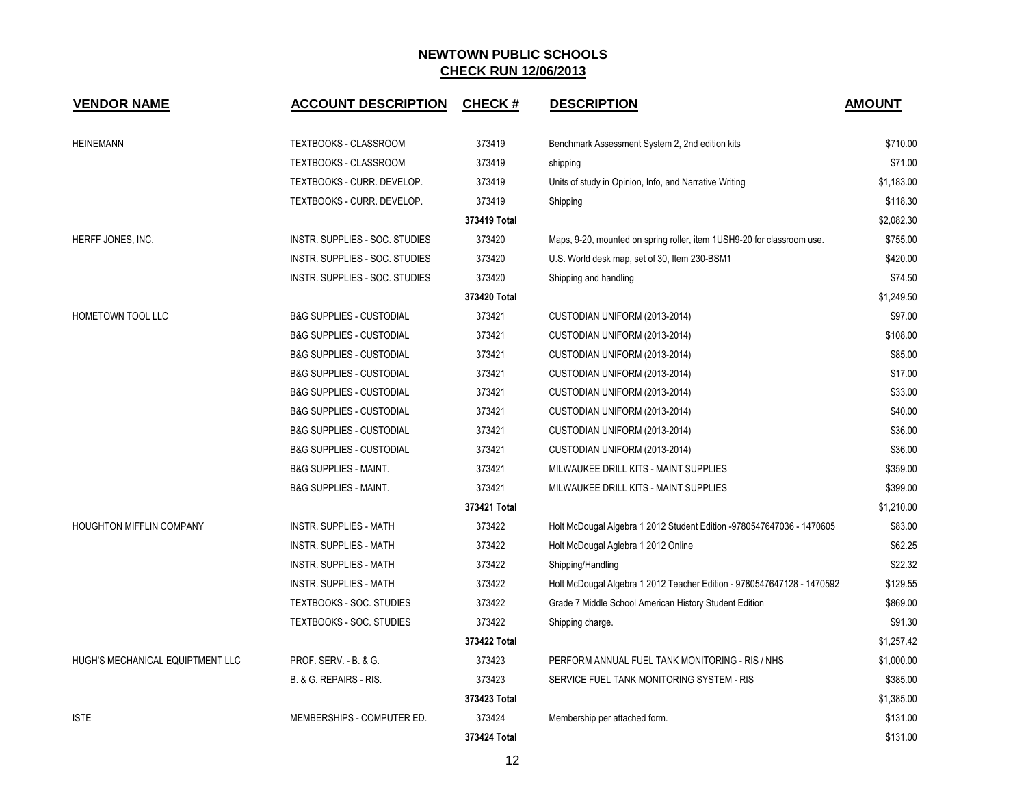| <b>VENDOR NAME</b>               | <b>ACCOUNT DESCRIPTION</b>          | <b>CHECK#</b> | <b>DESCRIPTION</b>                                                     | <b>AMOUNT</b> |
|----------------------------------|-------------------------------------|---------------|------------------------------------------------------------------------|---------------|
| <b>HEINEMANN</b>                 | TEXTBOOKS - CLASSROOM               | 373419        | Benchmark Assessment System 2, 2nd edition kits                        | \$710.00      |
|                                  | TEXTBOOKS - CLASSROOM               | 373419        | shipping                                                               | \$71.00       |
|                                  | TEXTBOOKS - CURR. DEVELOP.          | 373419        | Units of study in Opinion, Info, and Narrative Writing                 | \$1,183.00    |
|                                  | TEXTBOOKS - CURR. DEVELOP.          | 373419        | Shipping                                                               | \$118.30      |
|                                  |                                     | 373419 Total  |                                                                        | \$2,082.30    |
| HERFF JONES, INC.                | INSTR. SUPPLIES - SOC. STUDIES      | 373420        | Maps, 9-20, mounted on spring roller, item 1USH9-20 for classroom use. | \$755.00      |
|                                  | INSTR. SUPPLIES - SOC. STUDIES      | 373420        | U.S. World desk map, set of 30, Item 230-BSM1                          | \$420.00      |
|                                  | INSTR. SUPPLIES - SOC. STUDIES      | 373420        | Shipping and handling                                                  | \$74.50       |
|                                  |                                     | 373420 Total  |                                                                        | \$1,249.50    |
| <b>HOMETOWN TOOL LLC</b>         | <b>B&amp;G SUPPLIES - CUSTODIAL</b> | 373421        | CUSTODIAN UNIFORM (2013-2014)                                          | \$97.00       |
|                                  | <b>B&amp;G SUPPLIES - CUSTODIAL</b> | 373421        | CUSTODIAN UNIFORM (2013-2014)                                          | \$108.00      |
|                                  | <b>B&amp;G SUPPLIES - CUSTODIAL</b> | 373421        | CUSTODIAN UNIFORM (2013-2014)                                          | \$85.00       |
|                                  | <b>B&amp;G SUPPLIES - CUSTODIAL</b> | 373421        | CUSTODIAN UNIFORM (2013-2014)                                          | \$17.00       |
|                                  | <b>B&amp;G SUPPLIES - CUSTODIAL</b> | 373421        | CUSTODIAN UNIFORM (2013-2014)                                          | \$33.00       |
|                                  | <b>B&amp;G SUPPLIES - CUSTODIAL</b> | 373421        | CUSTODIAN UNIFORM (2013-2014)                                          | \$40.00       |
|                                  | <b>B&amp;G SUPPLIES - CUSTODIAL</b> | 373421        | CUSTODIAN UNIFORM (2013-2014)                                          | \$36.00       |
|                                  | <b>B&amp;G SUPPLIES - CUSTODIAL</b> | 373421        | CUSTODIAN UNIFORM (2013-2014)                                          | \$36.00       |
|                                  | <b>B&amp;G SUPPLIES - MAINT.</b>    | 373421        | MILWAUKEE DRILL KITS - MAINT SUPPLIES                                  | \$359.00      |
|                                  | <b>B&amp;G SUPPLIES - MAINT.</b>    | 373421        | MILWAUKEE DRILL KITS - MAINT SUPPLIES                                  | \$399.00      |
|                                  |                                     | 373421 Total  |                                                                        | \$1,210.00    |
| <b>HOUGHTON MIFFLIN COMPANY</b>  | <b>INSTR. SUPPLIES - MATH</b>       | 373422        | Holt McDougal Algebra 1 2012 Student Edition -9780547647036 - 1470605  | \$83.00       |
|                                  | <b>INSTR. SUPPLIES - MATH</b>       | 373422        | Holt McDougal Aglebra 1 2012 Online                                    | \$62.25       |
|                                  | <b>INSTR. SUPPLIES - MATH</b>       | 373422        | Shipping/Handling                                                      | \$22.32       |
|                                  | <b>INSTR. SUPPLIES - MATH</b>       | 373422        | Holt McDougal Algebra 1 2012 Teacher Edition - 9780547647128 - 1470592 | \$129.55      |
|                                  | TEXTBOOKS - SOC. STUDIES            | 373422        | Grade 7 Middle School American History Student Edition                 | \$869.00      |
|                                  | TEXTBOOKS - SOC. STUDIES            | 373422        | Shipping charge.                                                       | \$91.30       |
|                                  |                                     | 373422 Total  |                                                                        | \$1,257.42    |
| HUGH'S MECHANICAL EQUIPTMENT LLC | PROF. SERV. - B. & G.               | 373423        | PERFORM ANNUAL FUEL TANK MONITORING - RIS / NHS                        | \$1,000.00    |
|                                  | B. & G. REPAIRS - RIS.              | 373423        | SERVICE FUEL TANK MONITORING SYSTEM - RIS                              | \$385.00      |
|                                  |                                     | 373423 Total  |                                                                        | \$1,385.00    |
| <b>ISTE</b>                      | MEMBERSHIPS - COMPUTER ED.          | 373424        | Membership per attached form.                                          | \$131.00      |
|                                  |                                     | 373424 Total  |                                                                        | \$131.00      |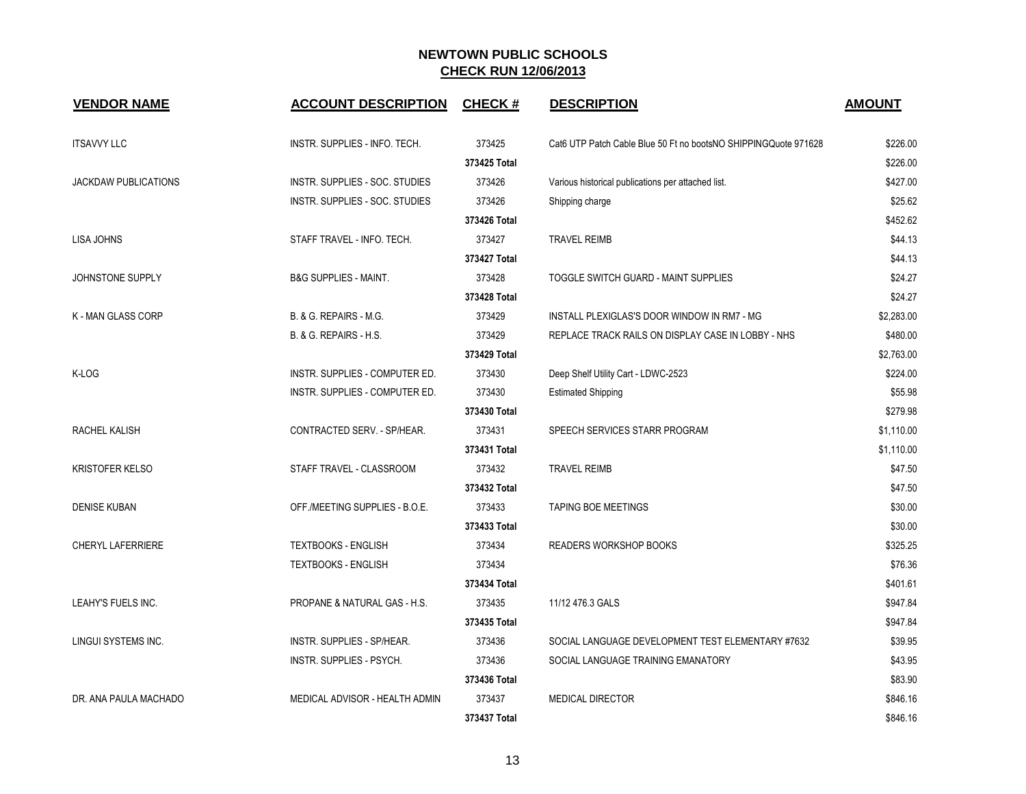| <b>VENDOR NAME</b>          | <b>ACCOUNT DESCRIPTION</b>       | <b>CHECK#</b> | <b>DESCRIPTION</b>                                              | <b>AMOUNT</b> |
|-----------------------------|----------------------------------|---------------|-----------------------------------------------------------------|---------------|
| <b>ITSAVVY LLC</b>          | INSTR. SUPPLIES - INFO. TECH.    | 373425        | Cat6 UTP Patch Cable Blue 50 Ft no bootsNO SHIPPINGQuote 971628 | \$226.00      |
|                             |                                  | 373425 Total  |                                                                 | \$226.00      |
| <b>JACKDAW PUBLICATIONS</b> | INSTR. SUPPLIES - SOC. STUDIES   | 373426        | Various historical publications per attached list.              | \$427.00      |
|                             | INSTR. SUPPLIES - SOC. STUDIES   | 373426        | Shipping charge                                                 | \$25.62       |
|                             |                                  | 373426 Total  |                                                                 | \$452.62      |
| LISA JOHNS                  | STAFF TRAVEL - INFO. TECH.       | 373427        | <b>TRAVEL REIMB</b>                                             | \$44.13       |
|                             |                                  | 373427 Total  |                                                                 | \$44.13       |
| JOHNSTONE SUPPLY            | <b>B&amp;G SUPPLIES - MAINT.</b> | 373428        | TOGGLE SWITCH GUARD - MAINT SUPPLIES                            | \$24.27       |
|                             |                                  | 373428 Total  |                                                                 | \$24.27       |
| K - MAN GLASS CORP          | B. & G. REPAIRS - M.G.           | 373429        | INSTALL PLEXIGLAS'S DOOR WINDOW IN RM7 - MG                     | \$2,283.00    |
|                             | B. & G. REPAIRS - H.S.           | 373429        | REPLACE TRACK RAILS ON DISPLAY CASE IN LOBBY - NHS              | \$480.00      |
|                             |                                  | 373429 Total  |                                                                 | \$2,763.00    |
| K-LOG                       | INSTR. SUPPLIES - COMPUTER ED.   | 373430        | Deep Shelf Utility Cart - LDWC-2523                             | \$224.00      |
|                             | INSTR. SUPPLIES - COMPUTER ED.   | 373430        | <b>Estimated Shipping</b>                                       | \$55.98       |
|                             |                                  | 373430 Total  |                                                                 | \$279.98      |
| RACHEL KALISH               | CONTRACTED SERV. - SP/HEAR.      | 373431        | SPEECH SERVICES STARR PROGRAM                                   | \$1,110.00    |
|                             |                                  | 373431 Total  |                                                                 | \$1,110.00    |
| <b>KRISTOFER KELSO</b>      | STAFF TRAVEL - CLASSROOM         | 373432        | <b>TRAVEL REIMB</b>                                             | \$47.50       |
|                             |                                  | 373432 Total  |                                                                 | \$47.50       |
| <b>DENISE KUBAN</b>         | OFF./MEETING SUPPLIES - B.O.E.   | 373433        | <b>TAPING BOE MEETINGS</b>                                      | \$30.00       |
|                             |                                  | 373433 Total  |                                                                 | \$30.00       |
| <b>CHERYL LAFERRIERE</b>    | <b>TEXTBOOKS - ENGLISH</b>       | 373434        | <b>READERS WORKSHOP BOOKS</b>                                   | \$325.25      |
|                             | <b>TEXTBOOKS - ENGLISH</b>       | 373434        |                                                                 | \$76.36       |
|                             |                                  | 373434 Total  |                                                                 | \$401.61      |
| LEAHY'S FUELS INC.          | PROPANE & NATURAL GAS - H.S.     | 373435        | 11/12 476.3 GALS                                                | \$947.84      |
|                             |                                  | 373435 Total  |                                                                 | \$947.84      |
| LINGUI SYSTEMS INC.         | INSTR. SUPPLIES - SP/HEAR.       | 373436        | SOCIAL LANGUAGE DEVELOPMENT TEST ELEMENTARY #7632               | \$39.95       |
|                             | INSTR. SUPPLIES - PSYCH.         | 373436        | SOCIAL LANGUAGE TRAINING EMANATORY                              | \$43.95       |
|                             |                                  | 373436 Total  |                                                                 | \$83.90       |
| DR. ANA PAULA MACHADO       | MEDICAL ADVISOR - HEALTH ADMIN   | 373437        | <b>MEDICAL DIRECTOR</b>                                         | \$846.16      |
|                             |                                  | 373437 Total  |                                                                 | \$846.16      |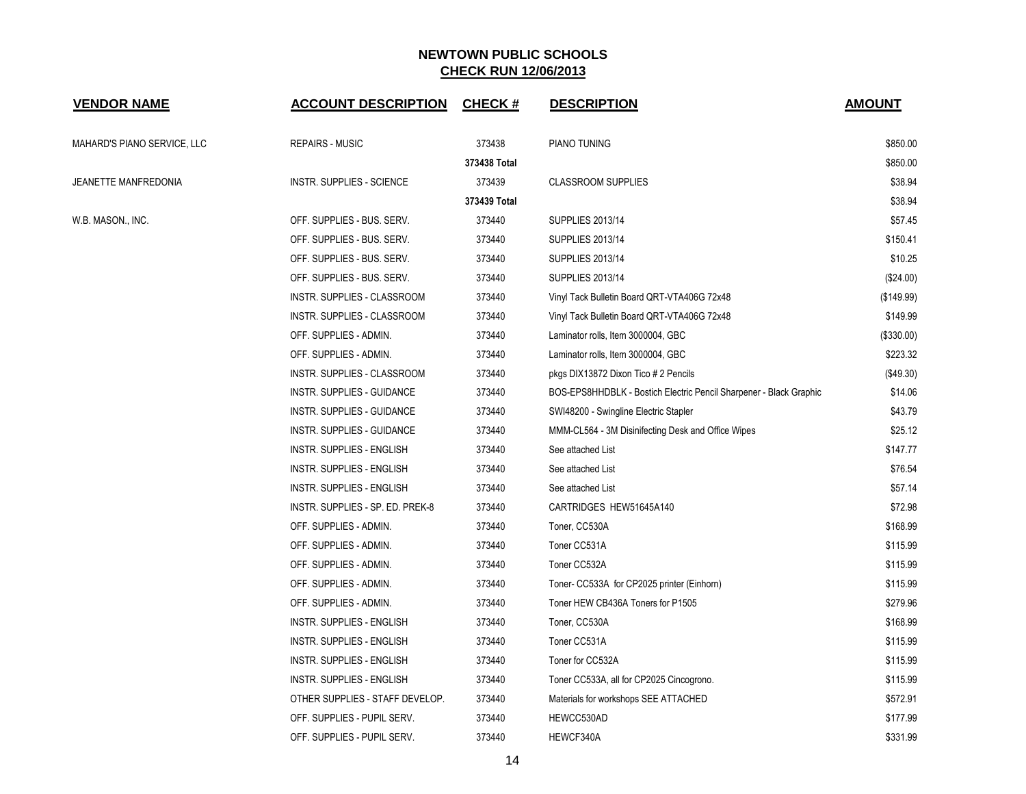| <b>VENDOR NAME</b>          | <b>ACCOUNT DESCRIPTION</b>       | <b>CHECK#</b> | <b>DESCRIPTION</b>                                                 | <b>AMOUNT</b> |
|-----------------------------|----------------------------------|---------------|--------------------------------------------------------------------|---------------|
| MAHARD'S PIANO SERVICE, LLC | <b>REPAIRS - MUSIC</b>           | 373438        | PIANO TUNING                                                       | \$850.00      |
|                             |                                  | 373438 Total  |                                                                    | \$850.00      |
| JEANETTE MANFREDONIA        | INSTR. SUPPLIES - SCIENCE        | 373439        | <b>CLASSROOM SUPPLIES</b>                                          | \$38.94       |
|                             |                                  | 373439 Total  |                                                                    | \$38.94       |
| W.B. MASON., INC.           | OFF. SUPPLIES - BUS. SERV.       | 373440        | <b>SUPPLIES 2013/14</b>                                            | \$57.45       |
|                             | OFF. SUPPLIES - BUS. SERV.       | 373440        | <b>SUPPLIES 2013/14</b>                                            | \$150.41      |
|                             | OFF. SUPPLIES - BUS. SERV.       | 373440        | <b>SUPPLIES 2013/14</b>                                            | \$10.25       |
|                             | OFF. SUPPLIES - BUS. SERV.       | 373440        | <b>SUPPLIES 2013/14</b>                                            | $(\$24.00)$   |
|                             | INSTR. SUPPLIES - CLASSROOM      | 373440        | Vinyl Tack Bulletin Board QRT-VTA406G 72x48                        | (\$149.99)    |
|                             | INSTR. SUPPLIES - CLASSROOM      | 373440        | Vinyl Tack Bulletin Board QRT-VTA406G 72x48                        | \$149.99      |
|                             | OFF. SUPPLIES - ADMIN.           | 373440        | Laminator rolls, Item 3000004, GBC                                 | (\$330.00)    |
|                             | OFF. SUPPLIES - ADMIN.           | 373440        | Laminator rolls, Item 3000004, GBC                                 | \$223.32      |
|                             | INSTR. SUPPLIES - CLASSROOM      | 373440        | pkgs DIX13872 Dixon Tico # 2 Pencils                               | (\$49.30)     |
|                             | INSTR. SUPPLIES - GUIDANCE       | 373440        | BOS-EPS8HHDBLK - Bostich Electric Pencil Sharpener - Black Graphic | \$14.06       |
|                             | INSTR. SUPPLIES - GUIDANCE       | 373440        | SWI48200 - Swingline Electric Stapler                              | \$43.79       |
|                             | INSTR. SUPPLIES - GUIDANCE       | 373440        | MMM-CL564 - 3M Disinifecting Desk and Office Wipes                 | \$25.12       |
|                             | INSTR. SUPPLIES - ENGLISH        | 373440        | See attached List                                                  | \$147.77      |
|                             | INSTR. SUPPLIES - ENGLISH        | 373440        | See attached List                                                  | \$76.54       |
|                             | INSTR. SUPPLIES - ENGLISH        | 373440        | See attached List                                                  | \$57.14       |
|                             | INSTR. SUPPLIES - SP. ED. PREK-8 | 373440        | CARTRIDGES HEW51645A140                                            | \$72.98       |
|                             | OFF. SUPPLIES - ADMIN.           | 373440        | Toner, CC530A                                                      | \$168.99      |
|                             | OFF. SUPPLIES - ADMIN.           | 373440        | Toner CC531A                                                       | \$115.99      |
|                             | OFF. SUPPLIES - ADMIN.           | 373440        | Toner CC532A                                                       | \$115.99      |
|                             | OFF. SUPPLIES - ADMIN.           | 373440        | Toner- CC533A for CP2025 printer (Einhorn)                         | \$115.99      |
|                             | OFF. SUPPLIES - ADMIN.           | 373440        | Toner HEW CB436A Toners for P1505                                  | \$279.96      |
|                             | <b>INSTR. SUPPLIES - ENGLISH</b> | 373440        | Toner, CC530A                                                      | \$168.99      |
|                             | INSTR. SUPPLIES - ENGLISH        | 373440        | Toner CC531A                                                       | \$115.99      |
|                             | INSTR. SUPPLIES - ENGLISH        | 373440        | Toner for CC532A                                                   | \$115.99      |
|                             | INSTR. SUPPLIES - ENGLISH        | 373440        | Toner CC533A, all for CP2025 Cincogrono.                           | \$115.99      |
|                             | OTHER SUPPLIES - STAFF DEVELOP.  | 373440        | Materials for workshops SEE ATTACHED                               | \$572.91      |
|                             | OFF. SUPPLIES - PUPIL SERV.      | 373440        | HEWCC530AD                                                         | \$177.99      |
|                             | OFF. SUPPLIES - PUPIL SERV.      | 373440        | HEWCF340A                                                          | \$331.99      |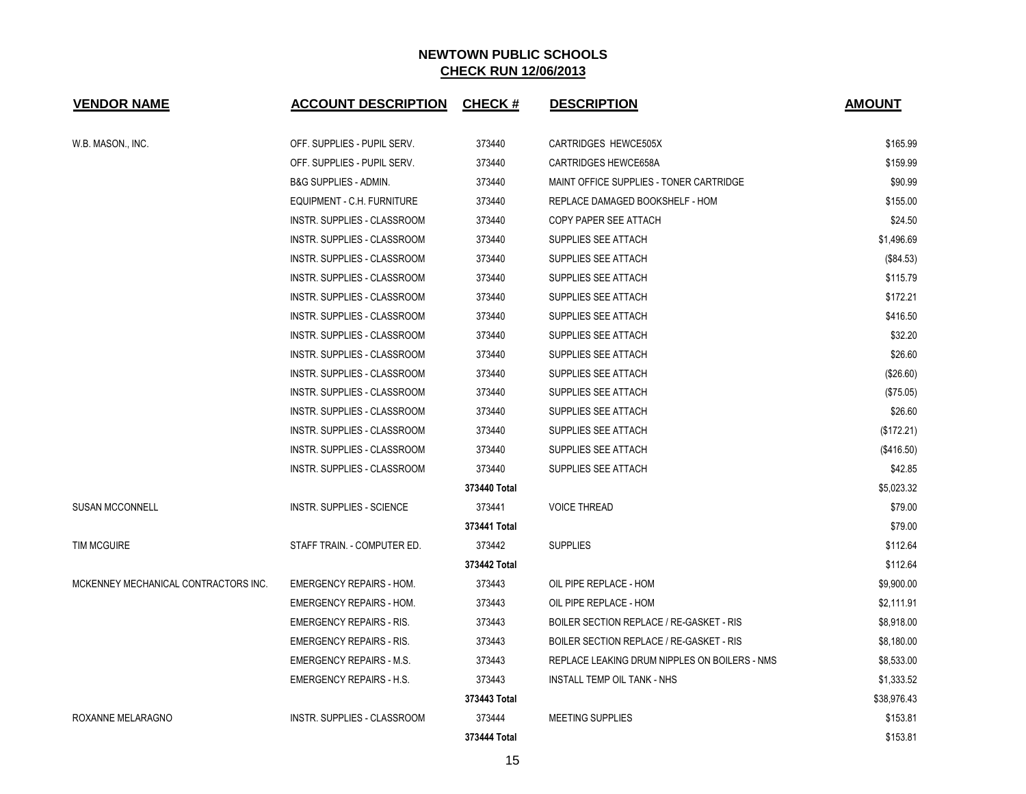| <b>VENDOR NAME</b>                   | <b>ACCOUNT DESCRIPTION</b>         | <b>CHECK#</b> | <b>DESCRIPTION</b>                            | <b>AMOUNT</b> |
|--------------------------------------|------------------------------------|---------------|-----------------------------------------------|---------------|
| W.B. MASON., INC.                    | OFF. SUPPLIES - PUPIL SERV.        | 373440        | <b>CARTRIDGES HEWCE505X</b>                   | \$165.99      |
|                                      | OFF. SUPPLIES - PUPIL SERV.        | 373440        | <b>CARTRIDGES HEWCE658A</b>                   | \$159.99      |
|                                      | <b>B&amp;G SUPPLIES - ADMIN.</b>   | 373440        | MAINT OFFICE SUPPLIES - TONER CARTRIDGE       | \$90.99       |
|                                      | EQUIPMENT - C.H. FURNITURE         | 373440        | REPLACE DAMAGED BOOKSHELF - HOM               | \$155.00      |
|                                      | INSTR. SUPPLIES - CLASSROOM        | 373440        | COPY PAPER SEE ATTACH                         | \$24.50       |
|                                      | INSTR. SUPPLIES - CLASSROOM        | 373440        | SUPPLIES SEE ATTACH                           | \$1,496.69    |
|                                      | <b>INSTR. SUPPLIES - CLASSROOM</b> | 373440        | SUPPLIES SEE ATTACH                           | (\$84.53)     |
|                                      | INSTR. SUPPLIES - CLASSROOM        | 373440        | SUPPLIES SEE ATTACH                           | \$115.79      |
|                                      | INSTR. SUPPLIES - CLASSROOM        | 373440        | SUPPLIES SEE ATTACH                           | \$172.21      |
|                                      | INSTR. SUPPLIES - CLASSROOM        | 373440        | SUPPLIES SEE ATTACH                           | \$416.50      |
|                                      | <b>INSTR. SUPPLIES - CLASSROOM</b> | 373440        | SUPPLIES SEE ATTACH                           | \$32.20       |
|                                      | <b>INSTR. SUPPLIES - CLASSROOM</b> | 373440        | SUPPLIES SEE ATTACH                           | \$26.60       |
|                                      | INSTR. SUPPLIES - CLASSROOM        | 373440        | SUPPLIES SEE ATTACH                           | (\$26.60)     |
|                                      | INSTR. SUPPLIES - CLASSROOM        | 373440        | SUPPLIES SEE ATTACH                           | (\$75.05)     |
|                                      | INSTR. SUPPLIES - CLASSROOM        | 373440        | SUPPLIES SEE ATTACH                           | \$26.60       |
|                                      | INSTR. SUPPLIES - CLASSROOM        | 373440        | SUPPLIES SEE ATTACH                           | (\$172.21)    |
|                                      | INSTR. SUPPLIES - CLASSROOM        | 373440        | SUPPLIES SEE ATTACH                           | (\$416.50)    |
|                                      | INSTR. SUPPLIES - CLASSROOM        | 373440        | SUPPLIES SEE ATTACH                           | \$42.85       |
|                                      |                                    | 373440 Total  |                                               | \$5,023.32    |
| <b>SUSAN MCCONNELL</b>               | <b>INSTR. SUPPLIES - SCIENCE</b>   | 373441        | <b>VOICE THREAD</b>                           | \$79.00       |
|                                      |                                    | 373441 Total  |                                               | \$79.00       |
| <b>TIM MCGUIRE</b>                   | STAFF TRAIN. - COMPUTER ED.        | 373442        | <b>SUPPLIES</b>                               | \$112.64      |
|                                      |                                    | 373442 Total  |                                               | \$112.64      |
| MCKENNEY MECHANICAL CONTRACTORS INC. | <b>EMERGENCY REPAIRS - HOM.</b>    | 373443        | OIL PIPE REPLACE - HOM                        | \$9,900.00    |
|                                      | <b>EMERGENCY REPAIRS - HOM.</b>    | 373443        | OIL PIPE REPLACE - HOM                        | \$2,111.91    |
|                                      | <b>EMERGENCY REPAIRS - RIS.</b>    | 373443        | BOILER SECTION REPLACE / RE-GASKET - RIS      | \$8,918.00    |
|                                      | <b>EMERGENCY REPAIRS - RIS.</b>    | 373443        | BOILER SECTION REPLACE / RE-GASKET - RIS      | \$8,180.00    |
|                                      | <b>EMERGENCY REPAIRS - M.S.</b>    | 373443        | REPLACE LEAKING DRUM NIPPLES ON BOILERS - NMS | \$8,533.00    |
|                                      | <b>EMERGENCY REPAIRS - H.S.</b>    | 373443        | <b>INSTALL TEMP OIL TANK - NHS</b>            | \$1,333.52    |
|                                      |                                    | 373443 Total  |                                               | \$38,976.43   |
| ROXANNE MELARAGNO                    | INSTR. SUPPLIES - CLASSROOM        | 373444        | <b>MEETING SUPPLIES</b>                       | \$153.81      |
|                                      |                                    | 373444 Total  |                                               | \$153.81      |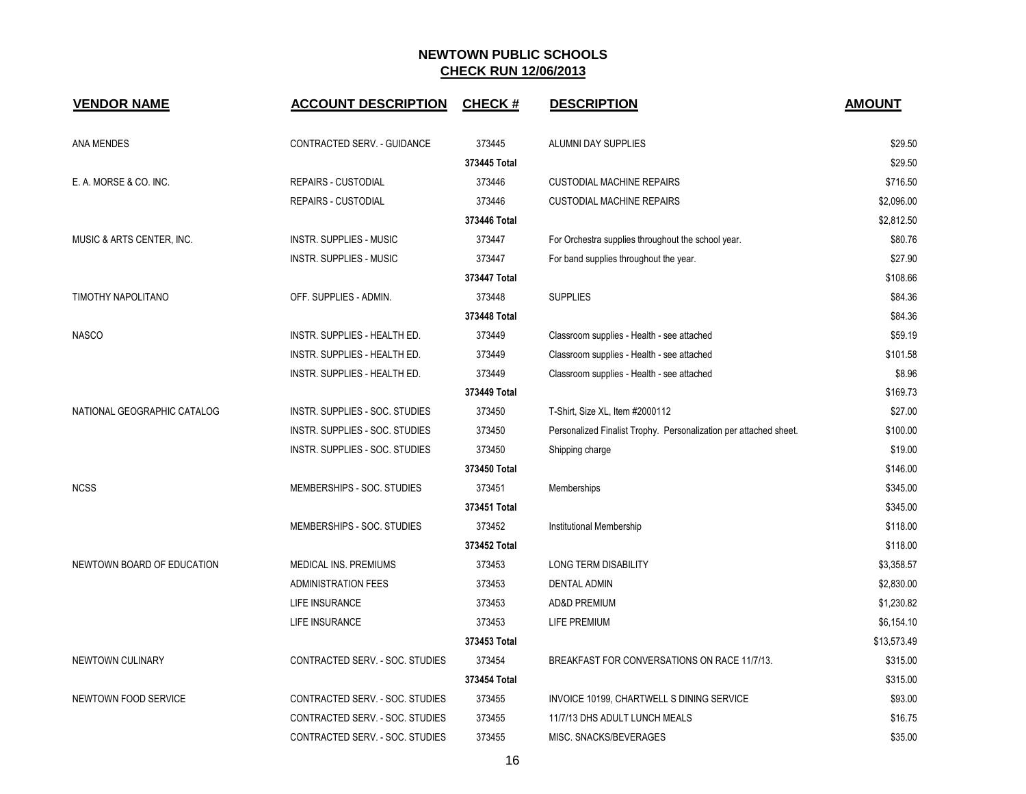| <b>VENDOR NAME</b>          | <b>ACCOUNT DESCRIPTION</b>          | CHECK #      | <b>DESCRIPTION</b>                                                | <b>AMOUNT</b> |
|-----------------------------|-------------------------------------|--------------|-------------------------------------------------------------------|---------------|
| ANA MENDES                  | CONTRACTED SERV. - GUIDANCE         | 373445       | ALUMNI DAY SUPPLIES                                               | \$29.50       |
|                             |                                     | 373445 Total |                                                                   | \$29.50       |
| E. A. MORSE & CO. INC.      | <b>REPAIRS - CUSTODIAL</b>          | 373446       | <b>CUSTODIAL MACHINE REPAIRS</b>                                  | \$716.50      |
|                             | <b>REPAIRS - CUSTODIAL</b>          | 373446       | <b>CUSTODIAL MACHINE REPAIRS</b>                                  | \$2,096.00    |
|                             |                                     | 373446 Total |                                                                   | \$2,812.50    |
| MUSIC & ARTS CENTER, INC.   | <b>INSTR. SUPPLIES - MUSIC</b>      | 373447       | For Orchestra supplies throughout the school year.                | \$80.76       |
|                             | <b>INSTR. SUPPLIES - MUSIC</b>      | 373447       | For band supplies throughout the year.                            | \$27.90       |
|                             |                                     | 373447 Total |                                                                   | \$108.66      |
| TIMOTHY NAPOLITANO          | OFF. SUPPLIES - ADMIN.              | 373448       | <b>SUPPLIES</b>                                                   | \$84.36       |
|                             |                                     | 373448 Total |                                                                   | \$84.36       |
| <b>NASCO</b>                | <b>INSTR. SUPPLIES - HEALTH ED.</b> | 373449       | Classroom supplies - Health - see attached                        | \$59.19       |
|                             | INSTR. SUPPLIES - HEALTH ED.        | 373449       | Classroom supplies - Health - see attached                        | \$101.58      |
|                             | INSTR. SUPPLIES - HEALTH ED.        | 373449       | Classroom supplies - Health - see attached                        | \$8.96        |
|                             |                                     | 373449 Total |                                                                   | \$169.73      |
| NATIONAL GEOGRAPHIC CATALOG | INSTR. SUPPLIES - SOC. STUDIES      | 373450       | T-Shirt, Size XL, Item #2000112                                   | \$27.00       |
|                             | INSTR. SUPPLIES - SOC. STUDIES      | 373450       | Personalized Finalist Trophy. Personalization per attached sheet. | \$100.00      |
|                             | INSTR. SUPPLIES - SOC. STUDIES      | 373450       | Shipping charge                                                   | \$19.00       |
|                             |                                     | 373450 Total |                                                                   | \$146.00      |
| <b>NCSS</b>                 | MEMBERSHIPS - SOC. STUDIES          | 373451       | Memberships                                                       | \$345.00      |
|                             |                                     | 373451 Total |                                                                   | \$345.00      |
|                             | MEMBERSHIPS - SOC. STUDIES          | 373452       | Institutional Membership                                          | \$118.00      |
|                             |                                     | 373452 Total |                                                                   | \$118.00      |
| NEWTOWN BOARD OF EDUCATION  | <b>MEDICAL INS. PREMIUMS</b>        | 373453       | <b>LONG TERM DISABILITY</b>                                       | \$3,358.57    |
|                             | <b>ADMINISTRATION FEES</b>          | 373453       | <b>DENTAL ADMIN</b>                                               | \$2,830.00    |
|                             | LIFE INSURANCE                      | 373453       | AD&D PREMIUM                                                      | \$1,230.82    |
|                             | LIFE INSURANCE                      | 373453       | LIFE PREMIUM                                                      | \$6,154.10    |
|                             |                                     | 373453 Total |                                                                   | \$13,573.49   |
| NEWTOWN CULINARY            | CONTRACTED SERV. - SOC. STUDIES     | 373454       | BREAKFAST FOR CONVERSATIONS ON RACE 11/7/13.                      | \$315.00      |
|                             |                                     | 373454 Total |                                                                   | \$315.00      |
| NEWTOWN FOOD SERVICE        | CONTRACTED SERV. - SOC. STUDIES     | 373455       | INVOICE 10199, CHARTWELL S DINING SERVICE                         | \$93.00       |
|                             | CONTRACTED SERV. - SOC. STUDIES     | 373455       | 11/7/13 DHS ADULT LUNCH MEALS                                     | \$16.75       |
|                             | CONTRACTED SERV. - SOC. STUDIES     | 373455       | MISC. SNACKS/BEVERAGES                                            | \$35.00       |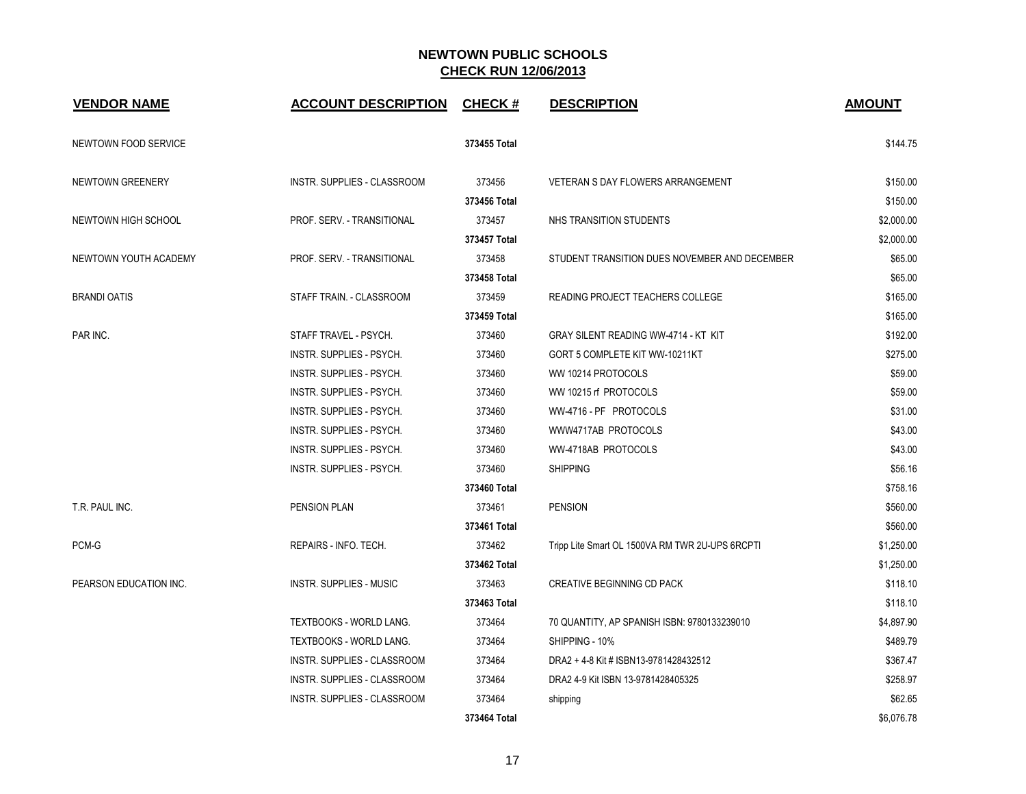| <b>VENDOR NAME</b>     | <b>ACCOUNT DESCRIPTION</b>      | <b>CHECK#</b> | <b>DESCRIPTION</b>                              | <b>AMOUNT</b> |
|------------------------|---------------------------------|---------------|-------------------------------------------------|---------------|
| NEWTOWN FOOD SERVICE   |                                 | 373455 Total  |                                                 | \$144.75      |
| NEWTOWN GREENERY       | INSTR. SUPPLIES - CLASSROOM     | 373456        | VETERAN S DAY FLOWERS ARRANGEMENT               | \$150.00      |
|                        |                                 | 373456 Total  |                                                 | \$150.00      |
| NEWTOWN HIGH SCHOOL    | PROF. SERV. - TRANSITIONAL      | 373457        | NHS TRANSITION STUDENTS                         | \$2,000.00    |
|                        |                                 | 373457 Total  |                                                 | \$2,000.00    |
| NEWTOWN YOUTH ACADEMY  | PROF. SERV. - TRANSITIONAL      | 373458        | STUDENT TRANSITION DUES NOVEMBER AND DECEMBER   | \$65.00       |
|                        |                                 | 373458 Total  |                                                 | \$65.00       |
| <b>BRANDI OATIS</b>    | STAFF TRAIN. - CLASSROOM        | 373459        | READING PROJECT TEACHERS COLLEGE                | \$165.00      |
|                        |                                 | 373459 Total  |                                                 | \$165.00      |
| PAR INC.               | STAFF TRAVEL - PSYCH.           | 373460        | GRAY SILENT READING WW-4714 - KT KIT            | \$192.00      |
|                        | <b>INSTR. SUPPLIES - PSYCH.</b> | 373460        | GORT 5 COMPLETE KIT WW-10211KT                  | \$275.00      |
|                        | INSTR. SUPPLIES - PSYCH.        | 373460        | WW 10214 PROTOCOLS                              | \$59.00       |
|                        | INSTR. SUPPLIES - PSYCH.        | 373460        | WW 10215 rf PROTOCOLS                           | \$59.00       |
|                        | INSTR. SUPPLIES - PSYCH.        | 373460        | WW-4716 - PF PROTOCOLS                          | \$31.00       |
|                        | INSTR. SUPPLIES - PSYCH.        | 373460        | WWW4717AB PROTOCOLS                             | \$43.00       |
|                        | INSTR. SUPPLIES - PSYCH.        | 373460        | WW-4718AB PROTOCOLS                             | \$43.00       |
|                        | <b>INSTR. SUPPLIES - PSYCH.</b> | 373460        | <b>SHIPPING</b>                                 | \$56.16       |
|                        |                                 | 373460 Total  |                                                 | \$758.16      |
| T.R. PAUL INC.         | <b>PENSION PLAN</b>             | 373461        | <b>PENSION</b>                                  | \$560.00      |
|                        |                                 | 373461 Total  |                                                 | \$560.00      |
| PCM-G                  | REPAIRS - INFO. TECH.           | 373462        | Tripp Lite Smart OL 1500VA RM TWR 2U-UPS 6RCPTI | \$1,250.00    |
|                        |                                 | 373462 Total  |                                                 | \$1,250.00    |
| PEARSON EDUCATION INC. | <b>INSTR. SUPPLIES - MUSIC</b>  | 373463        | CREATIVE BEGINNING CD PACK                      | \$118.10      |
|                        |                                 | 373463 Total  |                                                 | \$118.10      |
|                        | <b>TEXTBOOKS - WORLD LANG.</b>  | 373464        | 70 QUANTITY, AP SPANISH ISBN: 9780133239010     | \$4,897.90    |
|                        | TEXTBOOKS - WORLD LANG.         | 373464        | SHIPPING - 10%                                  | \$489.79      |
|                        | INSTR. SUPPLIES - CLASSROOM     | 373464        | DRA2 + 4-8 Kit # ISBN13-9781428432512           | \$367.47      |
|                        | INSTR. SUPPLIES - CLASSROOM     | 373464        | DRA2 4-9 Kit ISBN 13-9781428405325              | \$258.97      |
|                        | INSTR. SUPPLIES - CLASSROOM     | 373464        | shipping                                        | \$62.65       |
|                        |                                 | 373464 Total  |                                                 | \$6,076.78    |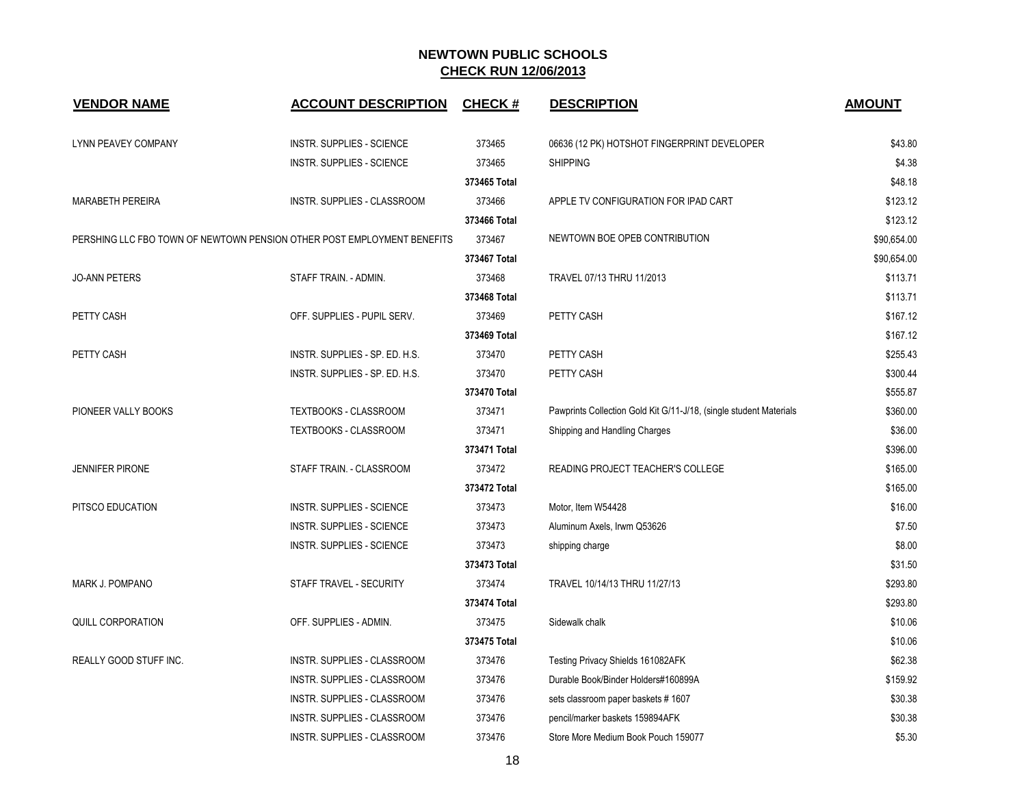| <b>VENDOR NAME</b>       | <b>ACCOUNT DESCRIPTION</b>                                              | <b>CHECK#</b> | <b>DESCRIPTION</b>                                                 | <b>AMOUNT</b> |
|--------------------------|-------------------------------------------------------------------------|---------------|--------------------------------------------------------------------|---------------|
| LYNN PEAVEY COMPANY      | <b>INSTR. SUPPLIES - SCIENCE</b>                                        | 373465        | 06636 (12 PK) HOTSHOT FINGERPRINT DEVELOPER                        | \$43.80       |
|                          | <b>INSTR. SUPPLIES - SCIENCE</b>                                        | 373465        | <b>SHIPPING</b>                                                    | \$4.38        |
|                          |                                                                         | 373465 Total  |                                                                    | \$48.18       |
| <b>MARABETH PEREIRA</b>  | INSTR. SUPPLIES - CLASSROOM                                             | 373466        | APPLE TV CONFIGURATION FOR IPAD CART                               | \$123.12      |
|                          |                                                                         | 373466 Total  |                                                                    | \$123.12      |
|                          | PERSHING LLC FBO TOWN OF NEWTOWN PENSION OTHER POST EMPLOYMENT BENEFITS | 373467        | NEWTOWN BOE OPEB CONTRIBUTION                                      | \$90,654.00   |
|                          |                                                                         | 373467 Total  |                                                                    | \$90,654.00   |
| <b>JO-ANN PETERS</b>     | STAFF TRAIN. - ADMIN.                                                   | 373468        | TRAVEL 07/13 THRU 11/2013                                          | \$113.71      |
|                          |                                                                         | 373468 Total  |                                                                    | \$113.71      |
| PETTY CASH               | OFF. SUPPLIES - PUPIL SERV.                                             | 373469        | PETTY CASH                                                         | \$167.12      |
|                          |                                                                         | 373469 Total  |                                                                    | \$167.12      |
| PETTY CASH               | INSTR. SUPPLIES - SP. ED. H.S.                                          | 373470        | PETTY CASH                                                         | \$255.43      |
|                          | INSTR. SUPPLIES - SP. ED. H.S.                                          | 373470        | PETTY CASH                                                         | \$300.44      |
|                          |                                                                         | 373470 Total  |                                                                    | \$555.87      |
| PIONEER VALLY BOOKS      | TEXTBOOKS - CLASSROOM                                                   | 373471        | Pawprints Collection Gold Kit G/11-J/18, (single student Materials | \$360.00      |
|                          | TEXTBOOKS - CLASSROOM                                                   | 373471        | Shipping and Handling Charges                                      | \$36.00       |
|                          |                                                                         | 373471 Total  |                                                                    | \$396.00      |
| <b>JENNIFER PIRONE</b>   | STAFF TRAIN. - CLASSROOM                                                | 373472        | <b>READING PROJECT TEACHER'S COLLEGE</b>                           | \$165.00      |
|                          |                                                                         | 373472 Total  |                                                                    | \$165.00      |
| PITSCO EDUCATION         | <b>INSTR. SUPPLIES - SCIENCE</b>                                        | 373473        | Motor, Item W54428                                                 | \$16.00       |
|                          | <b>INSTR. SUPPLIES - SCIENCE</b>                                        | 373473        | Aluminum Axels, Irwm Q53626                                        | \$7.50        |
|                          | <b>INSTR. SUPPLIES - SCIENCE</b>                                        | 373473        | shipping charge                                                    |               |
|                          |                                                                         | 373473 Total  |                                                                    | \$31.50       |
| MARK J. POMPANO          | STAFF TRAVEL - SECURITY                                                 | 373474        | TRAVEL 10/14/13 THRU 11/27/13                                      | \$293.80      |
|                          |                                                                         | 373474 Total  |                                                                    | \$293.80      |
| <b>QUILL CORPORATION</b> | OFF. SUPPLIES - ADMIN.                                                  | 373475        | Sidewalk chalk                                                     | \$10.06       |
|                          |                                                                         | 373475 Total  |                                                                    | \$10.06       |
| REALLY GOOD STUFF INC.   | INSTR. SUPPLIES - CLASSROOM                                             | 373476        | Testing Privacy Shields 161082AFK                                  | \$62.38       |
|                          | INSTR. SUPPLIES - CLASSROOM                                             | 373476        | Durable Book/Binder Holders#160899A                                | \$159.92      |
|                          | INSTR. SUPPLIES - CLASSROOM                                             | 373476        | sets classroom paper baskets #1607                                 | \$30.38       |
|                          | INSTR. SUPPLIES - CLASSROOM                                             | 373476        | pencil/marker baskets 159894AFK                                    | \$30.38       |
|                          | INSTR. SUPPLIES - CLASSROOM                                             | 373476        | Store More Medium Book Pouch 159077                                | \$5.30        |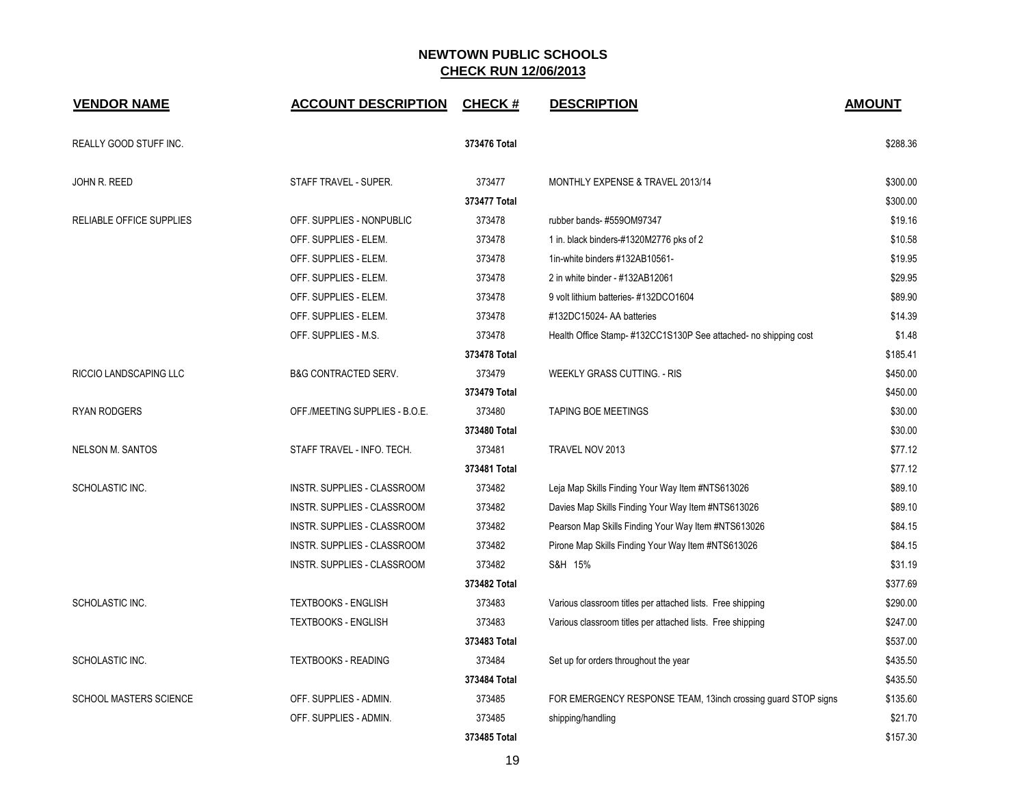| <b>VENDOR NAME</b>            | <b>ACCOUNT DESCRIPTION</b>      | <b>CHECK#</b> | <b>DESCRIPTION</b>                                              | <b>AMOUNT</b> |
|-------------------------------|---------------------------------|---------------|-----------------------------------------------------------------|---------------|
| REALLY GOOD STUFF INC.        |                                 | 373476 Total  |                                                                 | \$288.36      |
| JOHN R. REED                  | STAFF TRAVEL - SUPER.           | 373477        | MONTHLY EXPENSE & TRAVEL 2013/14                                | \$300.00      |
|                               |                                 | 373477 Total  |                                                                 | \$300.00      |
| RELIABLE OFFICE SUPPLIES      | OFF. SUPPLIES - NONPUBLIC       | 373478        | rubber bands-#559OM97347                                        | \$19.16       |
|                               | OFF. SUPPLIES - ELEM.           | 373478        | 1 in. black binders-#1320M2776 pks of 2                         | \$10.58       |
|                               | OFF. SUPPLIES - ELEM.           | 373478        | 1in-white binders #132AB10561-                                  | \$19.95       |
|                               | OFF. SUPPLIES - ELEM.           | 373478        | 2 in white binder - #132AB12061                                 | \$29.95       |
|                               | OFF. SUPPLIES - ELEM.           | 373478        | 9 volt lithium batteries- #132DCO1604                           | \$89.90       |
|                               | OFF. SUPPLIES - ELEM.           | 373478        | #132DC15024- AA batteries                                       | \$14.39       |
|                               | OFF. SUPPLIES - M.S.            | 373478        | Health Office Stamp-#132CC1S130P See attached- no shipping cost | \$1.48        |
|                               |                                 | 373478 Total  |                                                                 | \$185.41      |
| RICCIO LANDSCAPING LLC        | <b>B&amp;G CONTRACTED SERV.</b> | 373479        | <b>WEEKLY GRASS CUTTING. - RIS</b>                              | \$450.00      |
|                               |                                 | 373479 Total  |                                                                 | \$450.00      |
| <b>RYAN RODGERS</b>           | OFF./MEETING SUPPLIES - B.O.E.  | 373480        | <b>TAPING BOE MEETINGS</b>                                      | \$30.00       |
|                               |                                 | 373480 Total  |                                                                 | \$30.00       |
| <b>NELSON M. SANTOS</b>       | STAFF TRAVEL - INFO. TECH.      | 373481        | TRAVEL NOV 2013                                                 | \$77.12       |
|                               |                                 | 373481 Total  |                                                                 | \$77.12       |
| SCHOLASTIC INC.               | INSTR. SUPPLIES - CLASSROOM     | 373482        | Leja Map Skills Finding Your Way Item #NTS613026                | \$89.10       |
|                               | INSTR. SUPPLIES - CLASSROOM     | 373482        | Davies Map Skills Finding Your Way Item #NTS613026              | \$89.10       |
|                               | INSTR. SUPPLIES - CLASSROOM     | 373482        | Pearson Map Skills Finding Your Way Item #NTS613026             | \$84.15       |
|                               | INSTR. SUPPLIES - CLASSROOM     | 373482        | Pirone Map Skills Finding Your Way Item #NTS613026              | \$84.15       |
|                               | INSTR. SUPPLIES - CLASSROOM     | 373482        | S&H 15%                                                         | \$31.19       |
|                               |                                 | 373482 Total  |                                                                 | \$377.69      |
| SCHOLASTIC INC.               | <b>TEXTBOOKS - ENGLISH</b>      | 373483        | Various classroom titles per attached lists. Free shipping      | \$290.00      |
|                               | <b>TEXTBOOKS - ENGLISH</b>      | 373483        | Various classroom titles per attached lists. Free shipping      | \$247.00      |
|                               |                                 | 373483 Total  |                                                                 | \$537.00      |
| SCHOLASTIC INC.               | <b>TEXTBOOKS - READING</b>      | 373484        | Set up for orders throughout the year                           | \$435.50      |
|                               |                                 | 373484 Total  |                                                                 | \$435.50      |
| <b>SCHOOL MASTERS SCIENCE</b> | OFF. SUPPLIES - ADMIN.          | 373485        | FOR EMERGENCY RESPONSE TEAM, 13inch crossing guard STOP signs   | \$135.60      |
|                               | OFF. SUPPLIES - ADMIN.          | 373485        | shipping/handling                                               | \$21.70       |
|                               |                                 | 373485 Total  |                                                                 | \$157.30      |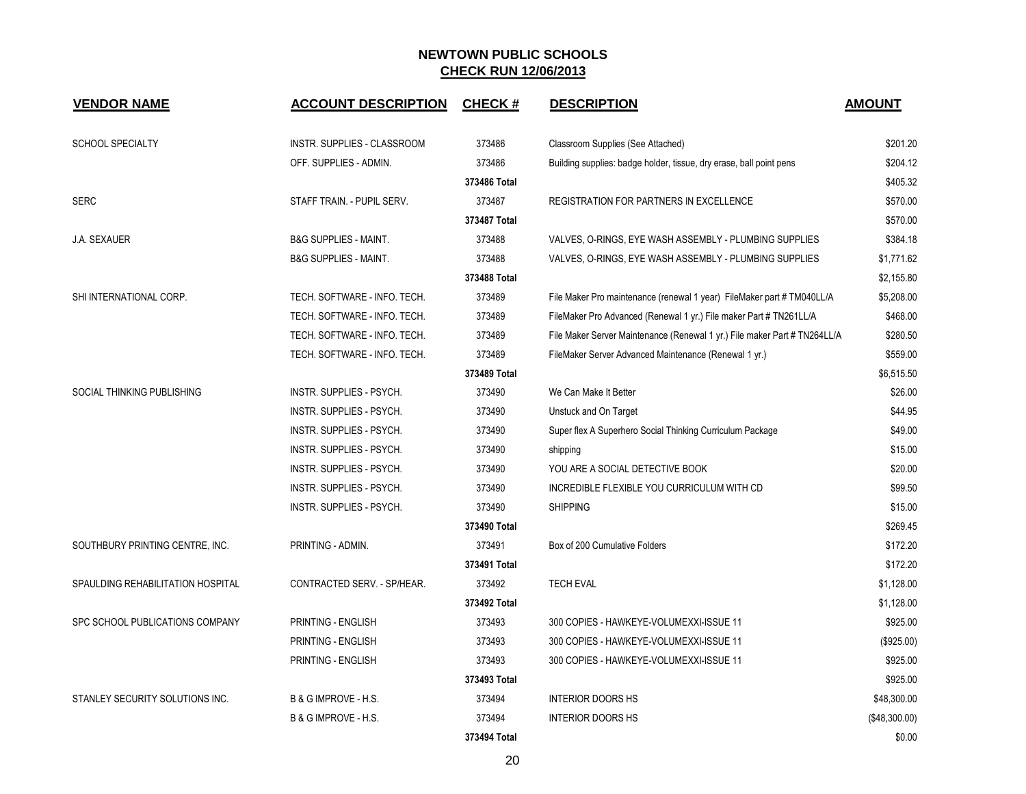| <b>VENDOR NAME</b>                | <b>ACCOUNT DESCRIPTION</b>       | <b>CHECK#</b> | <b>DESCRIPTION</b>                                                        | <b>AMOUNT</b> |
|-----------------------------------|----------------------------------|---------------|---------------------------------------------------------------------------|---------------|
| <b>SCHOOL SPECIALTY</b>           | INSTR. SUPPLIES - CLASSROOM      | 373486        | Classroom Supplies (See Attached)                                         | \$201.20      |
|                                   | OFF. SUPPLIES - ADMIN.           | 373486        | Building supplies: badge holder, tissue, dry erase, ball point pens       | \$204.12      |
|                                   |                                  | 373486 Total  |                                                                           | \$405.32      |
| <b>SERC</b>                       | STAFF TRAIN. - PUPIL SERV.       | 373487        | <b>REGISTRATION FOR PARTNERS IN EXCELLENCE</b>                            | \$570.00      |
|                                   |                                  | 373487 Total  |                                                                           | \$570.00      |
| <b>J.A. SEXAUER</b>               | <b>B&amp;G SUPPLIES - MAINT.</b> | 373488        | VALVES, O-RINGS, EYE WASH ASSEMBLY - PLUMBING SUPPLIES                    | \$384.18      |
|                                   | <b>B&amp;G SUPPLIES - MAINT.</b> | 373488        | VALVES, O-RINGS, EYE WASH ASSEMBLY - PLUMBING SUPPLIES                    | \$1,771.62    |
|                                   |                                  | 373488 Total  |                                                                           | \$2,155.80    |
| SHI INTERNATIONAL CORP.           | TECH. SOFTWARE - INFO. TECH.     | 373489        | File Maker Pro maintenance (renewal 1 year) FileMaker part # TM040LL/A    | \$5,208.00    |
|                                   | TECH. SOFTWARE - INFO. TECH.     | 373489        | FileMaker Pro Advanced (Renewal 1 yr.) File maker Part # TN261LL/A        | \$468.00      |
|                                   | TECH. SOFTWARE - INFO. TECH.     | 373489        | File Maker Server Maintenance (Renewal 1 yr.) File maker Part # TN264LL/A | \$280.50      |
|                                   | TECH. SOFTWARE - INFO. TECH.     | 373489        | FileMaker Server Advanced Maintenance (Renewal 1 yr.)                     | \$559.00      |
|                                   |                                  | 373489 Total  |                                                                           | \$6,515.50    |
| SOCIAL THINKING PUBLISHING        | <b>INSTR. SUPPLIES - PSYCH.</b>  | 373490        | We Can Make It Better                                                     | \$26.00       |
|                                   | <b>INSTR. SUPPLIES - PSYCH.</b>  | 373490        | Unstuck and On Target                                                     | \$44.95       |
|                                   | INSTR. SUPPLIES - PSYCH.         | 373490        | Super flex A Superhero Social Thinking Curriculum Package                 | \$49.00       |
|                                   | INSTR. SUPPLIES - PSYCH.         | 373490        | shipping                                                                  | \$15.00       |
|                                   | INSTR. SUPPLIES - PSYCH.         | 373490        | YOU ARE A SOCIAL DETECTIVE BOOK                                           | \$20.00       |
|                                   | <b>INSTR. SUPPLIES - PSYCH.</b>  | 373490        | INCREDIBLE FLEXIBLE YOU CURRICULUM WITH CD                                | \$99.50       |
|                                   | INSTR. SUPPLIES - PSYCH.         | 373490        | <b>SHIPPING</b>                                                           | \$15.00       |
|                                   |                                  | 373490 Total  |                                                                           | \$269.45      |
| SOUTHBURY PRINTING CENTRE, INC.   | PRINTING - ADMIN.                | 373491        | Box of 200 Cumulative Folders                                             | \$172.20      |
|                                   |                                  | 373491 Total  |                                                                           | \$172.20      |
| SPAULDING REHABILITATION HOSPITAL | CONTRACTED SERV. - SP/HEAR.      | 373492        | <b>TECH EVAL</b>                                                          | \$1,128.00    |
|                                   |                                  | 373492 Total  |                                                                           | \$1,128.00    |
| SPC SCHOOL PUBLICATIONS COMPANY   | PRINTING - ENGLISH               | 373493        | 300 COPIES - HAWKEYE-VOLUMEXXI-ISSUE 11                                   | \$925.00      |
|                                   | PRINTING - ENGLISH               | 373493        | 300 COPIES - HAWKEYE-VOLUMEXXI-ISSUE 11                                   | (\$925.00)    |
|                                   | PRINTING - ENGLISH               | 373493        | 300 COPIES - HAWKEYE-VOLUMEXXI-ISSUE 11                                   | \$925.00      |
|                                   |                                  | 373493 Total  |                                                                           | \$925.00      |
| STANLEY SECURITY SOLUTIONS INC.   | B & G IMPROVE - H.S.             | 373494        | <b>INTERIOR DOORS HS</b>                                                  | \$48,300.00   |
|                                   | B & G IMPROVE - H.S.             | 373494        | <b>INTERIOR DOORS HS</b>                                                  | (\$48,300.00) |
|                                   |                                  | 373494 Total  |                                                                           | \$0.00        |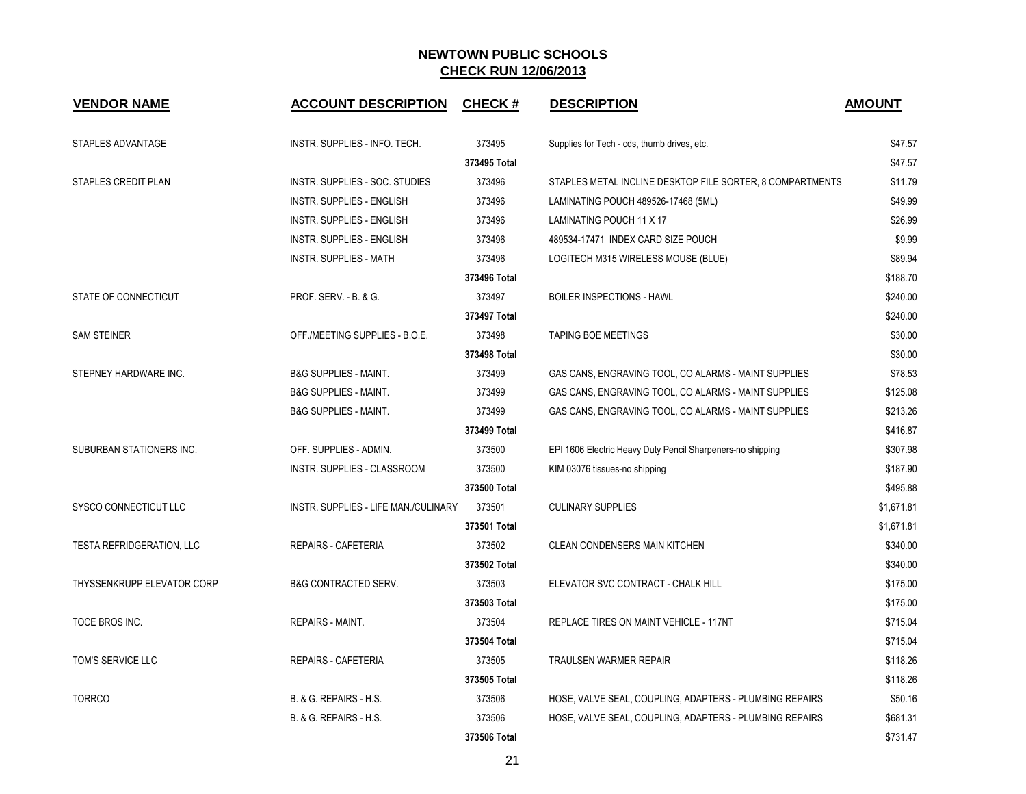| <b>VENDOR NAME</b>         | <b>ACCOUNT DESCRIPTION</b>           | <b>CHECK#</b> | <b>DESCRIPTION</b>                                         | <b>AMOUNT</b> |
|----------------------------|--------------------------------------|---------------|------------------------------------------------------------|---------------|
| STAPLES ADVANTAGE          | INSTR. SUPPLIES - INFO. TECH.        | 373495        | Supplies for Tech - cds, thumb drives, etc.                | \$47.57       |
|                            |                                      | 373495 Total  |                                                            | \$47.57       |
| STAPLES CREDIT PLAN        | INSTR. SUPPLIES - SOC. STUDIES       | 373496        | STAPLES METAL INCLINE DESKTOP FILE SORTER, 8 COMPARTMENTS  | \$11.79       |
|                            | INSTR. SUPPLIES - ENGLISH            | 373496        | LAMINATING POUCH 489526-17468 (5ML)                        | \$49.99       |
|                            | INSTR. SUPPLIES - ENGLISH            | 373496        | LAMINATING POUCH 11 X 17                                   | \$26.99       |
|                            | INSTR. SUPPLIES - ENGLISH            | 373496        | 489534-17471 INDEX CARD SIZE POUCH                         | \$9.99        |
|                            | <b>INSTR. SUPPLIES - MATH</b>        | 373496        | LOGITECH M315 WIRELESS MOUSE (BLUE)                        | \$89.94       |
|                            |                                      | 373496 Total  |                                                            | \$188.70      |
| STATE OF CONNECTICUT       | <b>PROF. SERV. - B. &amp; G.</b>     | 373497        | <b>BOILER INSPECTIONS - HAWL</b>                           | \$240.00      |
|                            |                                      | 373497 Total  |                                                            | \$240.00      |
| <b>SAM STEINER</b>         | OFF./MEETING SUPPLIES - B.O.E.       | 373498        | <b>TAPING BOE MEETINGS</b>                                 | \$30.00       |
|                            |                                      | 373498 Total  |                                                            | \$30.00       |
| STEPNEY HARDWARE INC.      | <b>B&amp;G SUPPLIES - MAINT.</b>     | 373499        | GAS CANS, ENGRAVING TOOL, CO ALARMS - MAINT SUPPLIES       | \$78.53       |
|                            | <b>B&amp;G SUPPLIES - MAINT.</b>     | 373499        | GAS CANS, ENGRAVING TOOL, CO ALARMS - MAINT SUPPLIES       | \$125.08      |
|                            | <b>B&amp;G SUPPLIES - MAINT.</b>     | 373499        | GAS CANS, ENGRAVING TOOL, CO ALARMS - MAINT SUPPLIES       | \$213.26      |
|                            |                                      | 373499 Total  |                                                            | \$416.87      |
| SUBURBAN STATIONERS INC.   | OFF. SUPPLIES - ADMIN.               | 373500        | EPI 1606 Electric Heavy Duty Pencil Sharpeners-no shipping | \$307.98      |
|                            | INSTR. SUPPLIES - CLASSROOM          | 373500        | KIM 03076 tissues-no shipping                              | \$187.90      |
|                            |                                      | 373500 Total  |                                                            | \$495.88      |
| SYSCO CONNECTICUT LLC      | INSTR. SUPPLIES - LIFE MAN./CULINARY | 373501        | <b>CULINARY SUPPLIES</b>                                   | \$1,671.81    |
|                            |                                      | 373501 Total  |                                                            | \$1,671.81    |
| TESTA REFRIDGERATION, LLC  | <b>REPAIRS - CAFETERIA</b>           | 373502        | <b>CLEAN CONDENSERS MAIN KITCHEN</b>                       | \$340.00      |
|                            |                                      | 373502 Total  |                                                            | \$340.00      |
| THYSSENKRUPP ELEVATOR CORP | <b>B&amp;G CONTRACTED SERV.</b>      | 373503        | ELEVATOR SVC CONTRACT - CHALK HILL                         | \$175.00      |
|                            |                                      | 373503 Total  |                                                            | \$175.00      |
| TOCE BROS INC.             | <b>REPAIRS - MAINT.</b>              | 373504        | REPLACE TIRES ON MAINT VEHICLE - 117NT                     | \$715.04      |
|                            |                                      | 373504 Total  |                                                            | \$715.04      |
| TOM'S SERVICE LLC          | <b>REPAIRS - CAFETERIA</b>           | 373505        | <b>TRAULSEN WARMER REPAIR</b>                              | \$118.26      |
|                            |                                      | 373505 Total  |                                                            | \$118.26      |
| <b>TORRCO</b>              | B. & G. REPAIRS - H.S.               | 373506        | HOSE, VALVE SEAL, COUPLING, ADAPTERS - PLUMBING REPAIRS    | \$50.16       |
|                            | B. & G. REPAIRS - H.S.               | 373506        | HOSE, VALVE SEAL, COUPLING, ADAPTERS - PLUMBING REPAIRS    | \$681.31      |
|                            |                                      | 373506 Total  |                                                            | \$731.47      |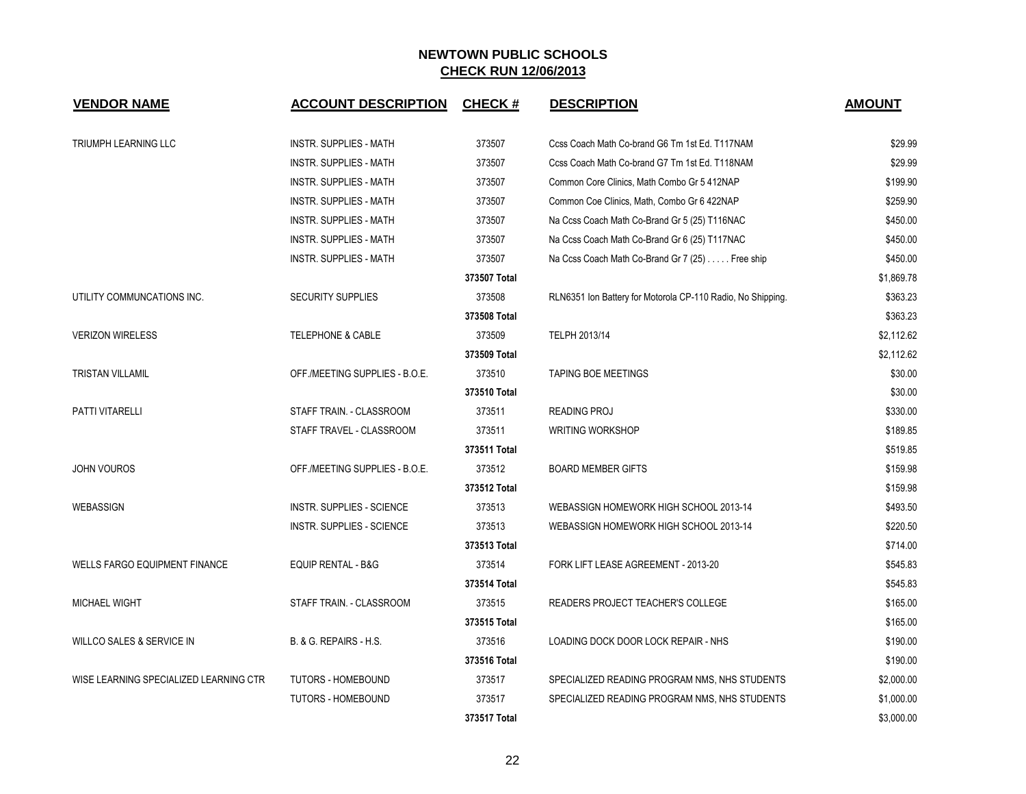| <b>VENDOR NAME</b>                     | <b>ACCOUNT DESCRIPTION</b>       | <b>CHECK#</b> | <b>DESCRIPTION</b>                                          | <b>AMOUNT</b> |
|----------------------------------------|----------------------------------|---------------|-------------------------------------------------------------|---------------|
| <b>TRIUMPH LEARNING LLC</b>            | <b>INSTR. SUPPLIES - MATH</b>    | 373507        | Ccss Coach Math Co-brand G6 Tm 1st Ed. T117NAM              | \$29.99       |
|                                        | <b>INSTR. SUPPLIES - MATH</b>    | 373507        | Ccss Coach Math Co-brand G7 Tm 1st Ed. T118NAM              | \$29.99       |
|                                        | <b>INSTR. SUPPLIES - MATH</b>    | 373507        | Common Core Clinics, Math Combo Gr 5 412NAP                 | \$199.90      |
|                                        | <b>INSTR. SUPPLIES - MATH</b>    | 373507        | Common Coe Clinics, Math, Combo Gr 6 422NAP                 | \$259.90      |
|                                        | <b>INSTR. SUPPLIES - MATH</b>    | 373507        | Na Ccss Coach Math Co-Brand Gr 5 (25) T116NAC               | \$450.00      |
|                                        | INSTR. SUPPLIES - MATH           | 373507        | Na Ccss Coach Math Co-Brand Gr 6 (25) T117NAC               | \$450.00      |
|                                        | <b>INSTR. SUPPLIES - MATH</b>    | 373507        | Na Ccss Coach Math Co-Brand Gr 7 (25) Free ship             | \$450.00      |
|                                        |                                  | 373507 Total  |                                                             | \$1,869.78    |
| UTILITY COMMUNCATIONS INC.             | <b>SECURITY SUPPLIES</b>         | 373508        | RLN6351 Ion Battery for Motorola CP-110 Radio, No Shipping. | \$363.23      |
|                                        |                                  | 373508 Total  |                                                             | \$363.23      |
| <b>VERIZON WIRELESS</b>                | <b>TELEPHONE &amp; CABLE</b>     | 373509        | TELPH 2013/14                                               | \$2,112.62    |
|                                        |                                  | 373509 Total  |                                                             | \$2,112.62    |
| <b>TRISTAN VILLAMIL</b>                | OFF./MEETING SUPPLIES - B.O.E.   | 373510        | <b>TAPING BOE MEETINGS</b>                                  | \$30.00       |
|                                        |                                  | 373510 Total  |                                                             | \$30.00       |
| PATTI VITARELLI                        | STAFF TRAIN. - CLASSROOM         | 373511        | <b>READING PROJ</b>                                         | \$330.00      |
|                                        | STAFF TRAVEL - CLASSROOM         | 373511        | <b>WRITING WORKSHOP</b>                                     | \$189.85      |
|                                        |                                  | 373511 Total  |                                                             | \$519.85      |
| <b>JOHN VOUROS</b>                     | OFF./MEETING SUPPLIES - B.O.E.   | 373512        | <b>BOARD MEMBER GIFTS</b>                                   | \$159.98      |
|                                        |                                  | 373512 Total  |                                                             | \$159.98      |
| WEBASSIGN                              | <b>INSTR. SUPPLIES - SCIENCE</b> | 373513        | WEBASSIGN HOMEWORK HIGH SCHOOL 2013-14                      | \$493.50      |
|                                        | <b>INSTR. SUPPLIES - SCIENCE</b> | 373513        | WEBASSIGN HOMEWORK HIGH SCHOOL 2013-14                      | \$220.50      |
|                                        |                                  | 373513 Total  |                                                             | \$714.00      |
| <b>WELLS FARGO EQUIPMENT FINANCE</b>   | <b>EQUIP RENTAL - B&amp;G</b>    | 373514        | FORK LIFT LEASE AGREEMENT - 2013-20                         | \$545.83      |
|                                        |                                  | 373514 Total  |                                                             | \$545.83      |
| <b>MICHAEL WIGHT</b>                   | STAFF TRAIN. - CLASSROOM         | 373515        | READERS PROJECT TEACHER'S COLLEGE                           | \$165.00      |
|                                        |                                  | 373515 Total  |                                                             | \$165.00      |
| WILLCO SALES & SERVICE IN              | B. & G. REPAIRS - H.S.           | 373516        | LOADING DOCK DOOR LOCK REPAIR - NHS                         | \$190.00      |
|                                        |                                  | 373516 Total  |                                                             | \$190.00      |
| WISE LEARNING SPECIALIZED LEARNING CTR | TUTORS - HOMEBOUND               | 373517        | SPECIALIZED READING PROGRAM NMS, NHS STUDENTS               | \$2,000.00    |
|                                        | <b>TUTORS - HOMEBOUND</b>        | 373517        | SPECIALIZED READING PROGRAM NMS, NHS STUDENTS               | \$1,000.00    |
|                                        |                                  | 373517 Total  |                                                             | \$3,000.00    |